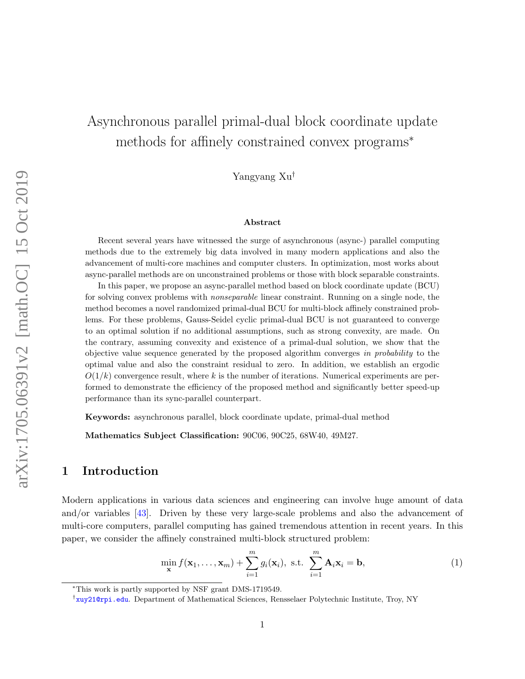# <span id="page-0-1"></span>Asynchronous parallel primal-dual block coordinate update methods for affinely constrained convex programs<sup>∗</sup>

Yangyang Xu†

#### Abstract

Recent several years have witnessed the surge of asynchronous (async-) parallel computing methods due to the extremely big data involved in many modern applications and also the advancement of multi-core machines and computer clusters. In optimization, most works about async-parallel methods are on unconstrained problems or those with block separable constraints.

In this paper, we propose an async-parallel method based on block coordinate update (BCU) for solving convex problems with nonseparable linear constraint. Running on a single node, the method becomes a novel randomized primal-dual BCU for multi-block affinely constrained problems. For these problems, Gauss-Seidel cyclic primal-dual BCU is not guaranteed to converge to an optimal solution if no additional assumptions, such as strong convexity, are made. On the contrary, assuming convexity and existence of a primal-dual solution, we show that the objective value sequence generated by the proposed algorithm converges in probability to the optimal value and also the constraint residual to zero. In addition, we establish an ergodic  $O(1/k)$  convergence result, where k is the number of iterations. Numerical experiments are performed to demonstrate the efficiency of the proposed method and significantly better speed-up performance than its sync-parallel counterpart.

Keywords: asynchronous parallel, block coordinate update, primal-dual method

Mathematics Subject Classification: 90C06, 90C25, 68W40, 49M27.

# 1 Introduction

Modern applications in various data sciences and engineering can involve huge amount of data and/or variables [\[43\]](#page-26-0). Driven by these very large-scale problems and also the advancement of multi-core computers, parallel computing has gained tremendous attention in recent years. In this paper, we consider the affinely constrained multi-block structured problem:

<span id="page-0-0"></span>
$$
\min_{\mathbf{x}} f(\mathbf{x}_1, \dots, \mathbf{x}_m) + \sum_{i=1}^m g_i(\mathbf{x}_i), \text{ s.t. } \sum_{i=1}^m \mathbf{A}_i \mathbf{x}_i = \mathbf{b},
$$
\n(1)

<sup>∗</sup>This work is partly supported by NSF grant DMS-1719549.

<sup>†</sup> <xuy21@rpi.edu>. Department of Mathematical Sciences, Rensselaer Polytechnic Institute, Troy, NY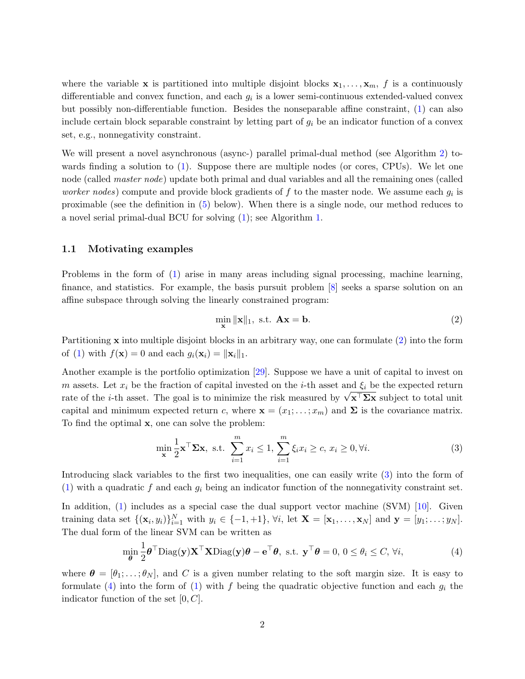<span id="page-1-3"></span>where the variable **x** is partitioned into multiple disjoint blocks  $x_1, \ldots, x_m$ , f is a continuously differentiable and convex function, and each  $g_i$  is a lower semi-continuous extended-valued convex but possibly non-differentiable function. Besides the nonseparable affine constraint, [\(1\)](#page-0-0) can also include certain block separable constraint by letting part of  $g_i$  be an indicator function of a convex set, e.g., nonnegativity constraint.

We will present a novel asynchronous (async-) parallel primal-dual method (see Algorithm [2\)](#page-8-0) to-wards finding a solution to [\(1\)](#page-0-0). Suppose there are multiple nodes (or cores, CPUs). We let one node (called master node) update both primal and dual variables and all the remaining ones (called *worker nodes*) compute and provide block gradients of  $f$  to the master node. We assume each  $g_i$  is proximable (see the definition in [\(5\)](#page-5-0) below). When there is a single node, our method reduces to a novel serial primal-dual BCU for solving [\(1\)](#page-0-0); see Algorithm [1.](#page-6-0)

#### 1.1 Motivating examples

Problems in the form of [\(1\)](#page-0-0) arise in many areas including signal processing, machine learning, finance, and statistics. For example, the basis pursuit problem [\[8\]](#page-23-0) seeks a sparse solution on an affine subspace through solving the linearly constrained program:

<span id="page-1-0"></span>
$$
\min_{\mathbf{x}} \|\mathbf{x}\|_1, \text{ s.t. } \mathbf{A}\mathbf{x} = \mathbf{b}.\tag{2}
$$

Partitioning  $\bf{x}$  into multiple disjoint blocks in an arbitrary way, one can formulate [\(2\)](#page-1-0) into the form of [\(1\)](#page-0-0) with  $f(\mathbf{x}) = 0$  and each  $g_i(\mathbf{x}_i) = ||\mathbf{x}_i||_1$ .

Another example is the portfolio optimization [\[29\]](#page-25-0). Suppose we have a unit of capital to invest on m assets. Let  $x_i$  be the fraction of capital invested on the *i*-th asset and  $\xi_i$  be the expected return *m* assets. Let  $x_i$  be the fraction of capital invested on the *i*-th asset and  $\zeta_i$  be the expected feture.<br>The goal is to minimize the risk measured by  $\sqrt{x^{\top} \Sigma x}$  subject to total unit capital and minimum expected return c, where  $\mathbf{x} = (x_1, \ldots, x_m)$  and  $\Sigma$  is the covariance matrix. To find the optimal x, one can solve the problem:

<span id="page-1-1"></span>
$$
\min_{\mathbf{x}} \frac{1}{2} \mathbf{x}^{\top} \mathbf{\Sigma} \mathbf{x}, \text{ s.t. } \sum_{i=1}^{m} x_i \le 1, \sum_{i=1}^{m} \xi_i x_i \ge c, x_i \ge 0, \forall i.
$$
 (3)

Introducing slack variables to the first two inequalities, one can easily write [\(3\)](#page-1-1) into the form of [\(1\)](#page-0-0) with a quadratic f and each  $g_i$  being an indicator function of the nonnegativity constraint set.

In addition,  $(1)$  includes as a special case the dual support vector machine  $(SVM)$  [\[10\]](#page-23-1). Given training data set  $\{(\mathbf{x}_i, y_i)\}_{i=1}^N$  with  $y_i \in \{-1, +1\}$ ,  $\forall i$ , let  $\mathbf{X} = [\mathbf{x}_1, \dots, \mathbf{x}_N]$  and  $\mathbf{y} = [y_1; \dots; y_N]$ . The dual form of the linear SVM can be written as

<span id="page-1-2"></span>
$$
\min_{\theta} \frac{1}{2} \theta^{\top} \text{Diag}(\mathbf{y}) \mathbf{X}^{\top} \mathbf{X} \text{Diag}(\mathbf{y}) \theta - \mathbf{e}^{\top} \theta, \text{ s.t. } \mathbf{y}^{\top} \theta = 0, 0 \le \theta_i \le C, \forall i,
$$
\n(4)

where  $\boldsymbol{\theta} = [\theta_1; \dots; \theta_N]$ , and C is a given number relating to the soft margin size. It is easy to formulate [\(4\)](#page-1-2) into the form of [\(1\)](#page-0-0) with f being the quadratic objective function and each  $g_i$  the indicator function of the set  $[0, C]$ .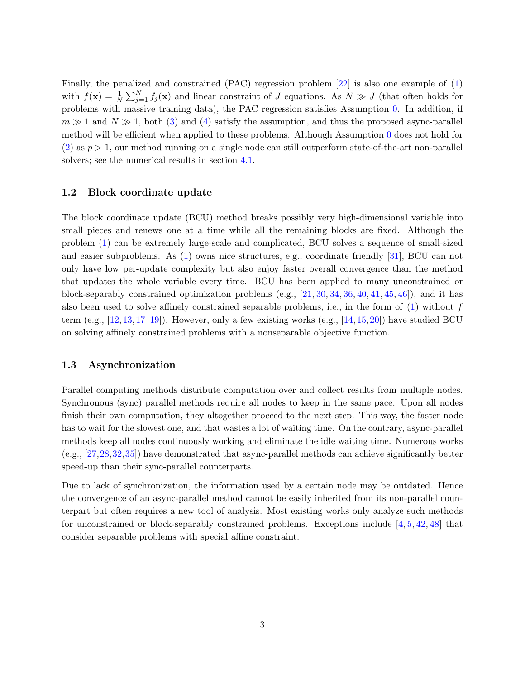<span id="page-2-0"></span>Finally, the penalized and constrained (PAC) regression problem [\[22\]](#page-24-0) is also one example of [\(1\)](#page-0-0) with  $f(\mathbf{x}) = \frac{1}{N} \sum_{j=1}^{N} f_j(\mathbf{x})$  and linear constraint of J equations. As  $N \gg J$  (that often holds for problems with massive training data), the PAC regression satisfies Assumption [0.](#page-6-1) In addition, if  $m \gg 1$  and  $N \gg 1$ , both [\(3\)](#page-1-1) and [\(4\)](#page-1-2) satisfy the assumption, and thus the proposed async-parallel method will be efficient when applied to these problems. Although Assumption [0](#page-6-1) does not hold for  $(2)$  as  $p > 1$ , our method running on a single node can still outperform state-of-the-art non-parallel solvers; see the numerical results in section [4.1.](#page-17-0)

#### 1.2 Block coordinate update

The block coordinate update (BCU) method breaks possibly very high-dimensional variable into small pieces and renews one at a time while all the remaining blocks are fixed. Although the problem [\(1\)](#page-0-0) can be extremely large-scale and complicated, BCU solves a sequence of small-sized and easier subproblems. As [\(1\)](#page-0-0) owns nice structures, e.g., coordinate friendly [\[31\]](#page-25-1), BCU can not only have low per-update complexity but also enjoy faster overall convergence than the method that updates the whole variable every time. BCU has been applied to many unconstrained or block-separably constrained optimization problems (e.g.,  $[21, 30, 34, 36, 40, 41, 45, 46]$  $[21, 30, 34, 36, 40, 41, 45, 46]$  $[21, 30, 34, 36, 40, 41, 45, 46]$  $[21, 30, 34, 36, 40, 41, 45, 46]$  $[21, 30, 34, 36, 40, 41, 45, 46]$  $[21, 30, 34, 36, 40, 41, 45, 46]$  $[21, 30, 34, 36, 40, 41, 45, 46]$  $[21, 30, 34, 36, 40, 41, 45, 46]$  $[21, 30, 34, 36, 40, 41, 45, 46]$  $[21, 30, 34, 36, 40, 41, 45, 46]$  $[21, 30, 34, 36, 40, 41, 45, 46]$  $[21, 30, 34, 36, 40, 41, 45, 46]$  $[21, 30, 34, 36, 40, 41, 45, 46]$  $[21, 30, 34, 36, 40, 41, 45, 46]$  $[21, 30, 34, 36, 40, 41, 45, 46]$ ), and it has also been used to solve affinely constrained separable problems, i.e., in the form of  $(1)$  without f term  $(e.g., [12,13,17-19])$  $(e.g., [12,13,17-19])$  $(e.g., [12,13,17-19])$  $(e.g., [12,13,17-19])$  $(e.g., [12,13,17-19])$ . However, only a few existing works  $(e.g., [14,15,20])$  $(e.g., [14,15,20])$  $(e.g., [14,15,20])$  $(e.g., [14,15,20])$  $(e.g., [14,15,20])$  have studied BCU on solving affinely constrained problems with a nonseparable objective function.

#### 1.3 Asynchronization

Parallel computing methods distribute computation over and collect results from multiple nodes. Synchronous (sync) parallel methods require all nodes to keep in the same pace. Upon all nodes finish their own computation, they altogether proceed to the next step. This way, the faster node has to wait for the slowest one, and that wastes a lot of waiting time. On the contrary, async-parallel methods keep all nodes continuously working and eliminate the idle waiting time. Numerous works (e.g., [\[27,](#page-25-5)[28,](#page-25-6)[32,](#page-25-7)[35\]](#page-25-8)) have demonstrated that async-parallel methods can achieve significantly better speed-up than their sync-parallel counterparts.

Due to lack of synchronization, the information used by a certain node may be outdated. Hence the convergence of an async-parallel method cannot be easily inherited from its non-parallel counterpart but often requires a new tool of analysis. Most existing works only analyze such methods for unconstrained or block-separably constrained problems. Exceptions include [\[4,](#page-23-2) [5,](#page-23-3) [42,](#page-26-5) [48\]](#page-26-6) that consider separable problems with special affine constraint.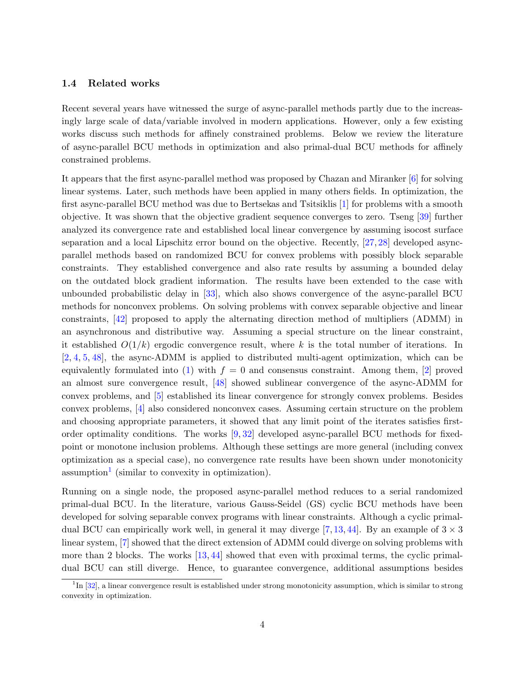#### <span id="page-3-1"></span>1.4 Related works

Recent several years have witnessed the surge of async-parallel methods partly due to the increasingly large scale of data/variable involved in modern applications. However, only a few existing works discuss such methods for affinely constrained problems. Below we review the literature of async-parallel BCU methods in optimization and also primal-dual BCU methods for affinely constrained problems.

It appears that the first async-parallel method was proposed by Chazan and Miranker [\[6\]](#page-23-4) for solving linear systems. Later, such methods have been applied in many others fields. In optimization, the first async-parallel BCU method was due to Bertsekas and Tsitsiklis [\[1\]](#page-23-5) for problems with a smooth objective. It was shown that the objective gradient sequence converges to zero. Tseng [\[39\]](#page-26-7) further analyzed its convergence rate and established local linear convergence by assuming isocost surface separation and a local Lipschitz error bound on the objective. Recently, [\[27,](#page-25-5) [28\]](#page-25-6) developed asyncparallel methods based on randomized BCU for convex problems with possibly block separable constraints. They established convergence and also rate results by assuming a bounded delay on the outdated block gradient information. The results have been extended to the case with unbounded probabilistic delay in [\[33\]](#page-25-9), which also shows convergence of the async-parallel BCU methods for nonconvex problems. On solving problems with convex separable objective and linear constraints, [\[42\]](#page-26-5) proposed to apply the alternating direction method of multipliers (ADMM) in an asynchronous and distributive way. Assuming a special structure on the linear constraint, it established  $O(1/k)$  ergodic convergence result, where k is the total number of iterations. In [\[2,](#page-23-6) [4,](#page-23-2) [5,](#page-23-3) [48\]](#page-26-6), the async-ADMM is applied to distributed multi-agent optimization, which can be equivalently formulated into [\(1\)](#page-0-0) with  $f = 0$  and consensus constraint. Among them, [\[2\]](#page-23-6) proved an almost sure convergence result, [\[48\]](#page-26-6) showed sublinear convergence of the async-ADMM for convex problems, and [\[5\]](#page-23-3) established its linear convergence for strongly convex problems. Besides convex problems, [\[4\]](#page-23-2) also considered nonconvex cases. Assuming certain structure on the problem and choosing appropriate parameters, it showed that any limit point of the iterates satisfies firstorder optimality conditions. The works [\[9,](#page-23-7) [32\]](#page-25-7) developed async-parallel BCU methods for fixedpoint or monotone inclusion problems. Although these settings are more general (including convex optimization as a special case), no convergence rate results have been shown under monotonicity assumption<sup>[1](#page-3-0)</sup> (similar to convexity in optimization).

Running on a single node, the proposed async-parallel method reduces to a serial randomized primal-dual BCU. In the literature, various Gauss-Seidel (GS) cyclic BCU methods have been developed for solving separable convex programs with linear constraints. Although a cyclic primal-dual BCU can empirically work well, in general it may diverge [\[7,](#page-23-8) [13,](#page-24-3) [44\]](#page-26-8). By an example of  $3 \times 3$ linear system, [\[7\]](#page-23-8) showed that the direct extension of ADMM could diverge on solving problems with more than 2 blocks. The works [\[13,](#page-24-3) [44\]](#page-26-8) showed that even with proximal terms, the cyclic primaldual BCU can still diverge. Hence, to guarantee convergence, additional assumptions besides

<span id="page-3-0"></span><sup>&</sup>lt;sup>1</sup>In [\[32\]](#page-25-7), a linear convergence result is established under strong monotonicity assumption, which is similar to strong convexity in optimization.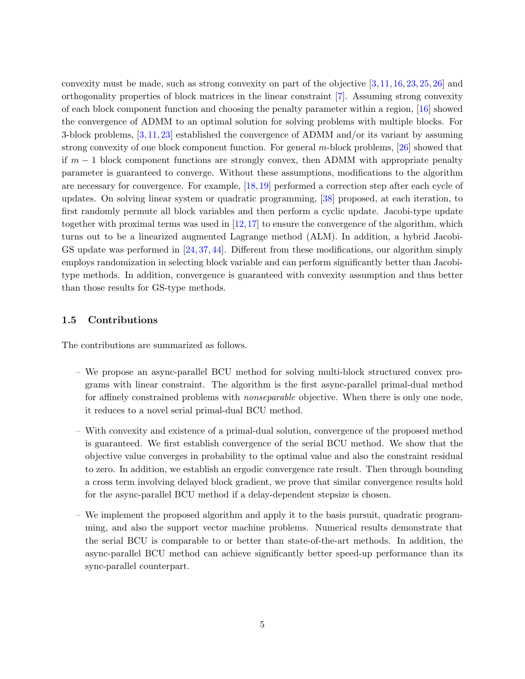<span id="page-4-0"></span>convexity must be made, such as strong convexity on part of the objective [\[3,](#page-23-9) [11,](#page-24-9) [16,](#page-24-10) [23,](#page-24-11) [25,](#page-25-10) [26\]](#page-25-11) and orthogonality properties of block matrices in the linear constraint [\[7\]](#page-23-8). Assuming strong convexity of each block component function and choosing the penalty parameter within a region, [\[16\]](#page-24-10) showed the convergence of ADMM to an optimal solution for solving problems with multiple blocks. For 3-block problems, [\[3,](#page-23-9) [11,](#page-24-9) [23\]](#page-24-11) established the convergence of ADMM and/or its variant by assuming strong convexity of one block component function. For general m-block problems,  $[26]$  showed that if  $m-1$  block component functions are strongly convex, then ADMM with appropriate penalty parameter is guaranteed to converge. Without these assumptions, modifications to the algorithm are necessary for convergence. For example, [\[18,](#page-24-12)[19\]](#page-24-5) performed a correction step after each cycle of updates. On solving linear system or quadratic programming, [\[38\]](#page-26-9) proposed, at each iteration, to first randomly permute all block variables and then perform a cyclic update. Jacobi-type update together with proximal terms was used in  $[12,17]$  $[12,17]$  to ensure the convergence of the algorithm, which turns out to be a linearized augmented Lagrange method (ALM). In addition, a hybrid Jacobi-GS update was performed in [\[24,](#page-25-12) [37,](#page-25-13) [44\]](#page-26-8). Different from these modifications, our algorithm simply employs randomization in selecting block variable and can perform significantly better than Jacobitype methods. In addition, convergence is guaranteed with convexity assumption and thus better than those results for GS-type methods.

#### 1.5 Contributions

The contributions are summarized as follows.

- We propose an async-parallel BCU method for solving multi-block structured convex programs with linear constraint. The algorithm is the first async-parallel primal-dual method for affinely constrained problems with nonseparable objective. When there is only one node, it reduces to a novel serial primal-dual BCU method.
- With convexity and existence of a primal-dual solution, convergence of the proposed method is guaranteed. We first establish convergence of the serial BCU method. We show that the objective value converges in probability to the optimal value and also the constraint residual to zero. In addition, we establish an ergodic convergence rate result. Then through bounding a cross term involving delayed block gradient, we prove that similar convergence results hold for the async-parallel BCU method if a delay-dependent stepsize is chosen.
- We implement the proposed algorithm and apply it to the basis pursuit, quadratic programming, and also the support vector machine problems. Numerical results demonstrate that the serial BCU is comparable to or better than state-of-the-art methods. In addition, the async-parallel BCU method can achieve significantly better speed-up performance than its sync-parallel counterpart.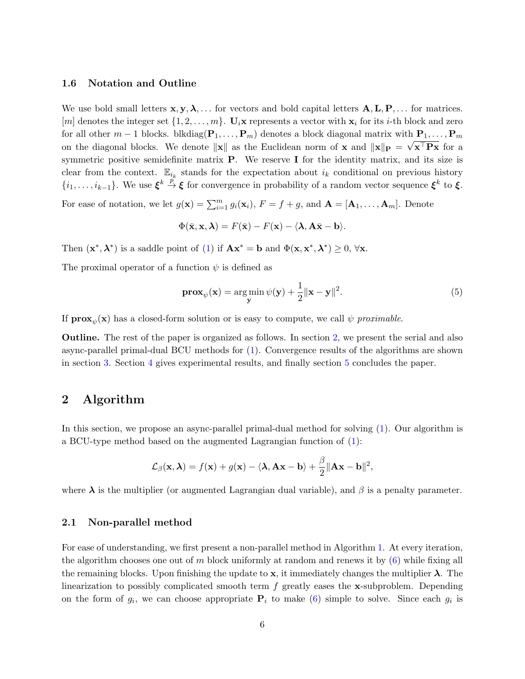#### 1.6 Notation and Outline

We use bold small letters  $x, y, \lambda, \ldots$  for vectors and bold capital letters  $A, L, P, \ldots$  for matrices. [m] denotes the integer set  $\{1, 2, \ldots, m\}$ . U<sub>i</sub>x represents a vector with  $\mathbf{x}_i$  for its *i*-th block and zero for all other  $m-1$  blocks. blkdiag( $\mathbf{P}_1, \ldots, \mathbf{P}_m$ ) denotes a block diagonal matrix with  $\mathbf{P}_1, \ldots, \mathbf{P}_m$ on the diagonal blocks. We denote  $\|\mathbf{x}\|$  as the Euclidean norm of **x** and  $\|\mathbf{x}\|_{\mathbf{P}} = \sqrt{\mathbf{x}^{\top} \mathbf{P} \mathbf{x}}$  for a symmetric positive semidefinite matrix P. We reserve I for the identity matrix, and its size is clear from the context.  $\mathbb{E}_{i_k}$  stands for the expectation about  $i_k$  conditional on previous history  $\{i_1,\ldots,i_{k-1}\}\.$  We use  $\xi^k \stackrel{p}{\to} \xi$  for convergence in probability of a random vector sequence  $\xi^k$  to  $\xi$ .

For ease of notation, we let  $g(\mathbf{x}) = \sum_{i=1}^{m} g_i(\mathbf{x}_i)$ ,  $F = f + g$ , and  $\mathbf{A} = [\mathbf{A}_1, \dots, \mathbf{A}_m]$ . Denote

$$
\Phi(\bar{\mathbf{x}}, \mathbf{x}, \boldsymbol{\lambda}) = F(\bar{\mathbf{x}}) - F(\mathbf{x}) - \langle \boldsymbol{\lambda}, \mathbf{A}\bar{\mathbf{x}} - \mathbf{b} \rangle.
$$

Then  $(\mathbf{x}^*, \boldsymbol{\lambda}^*)$  is a saddle point of [\(1\)](#page-0-0) if  $\mathbf{A}\mathbf{x}^* = \mathbf{b}$  and  $\Phi(\mathbf{x}, \mathbf{x}^*, \boldsymbol{\lambda}^*) \geq 0$ ,  $\forall \mathbf{x}$ .

The proximal operator of a function  $\psi$  is defined as

<span id="page-5-0"></span>
$$
\mathbf{prox}_{\psi}(\mathbf{x}) = \underset{\mathbf{y}}{\arg\min} \ \psi(\mathbf{y}) + \frac{1}{2} \|\mathbf{x} - \mathbf{y}\|^2. \tag{5}
$$

If  $\mathbf{prox}_{\psi}(\mathbf{x})$  has a closed-form solution or is easy to compute, we call  $\psi$  proximable.

Outline. The rest of the paper is organized as follows. In section [2,](#page-5-1) we present the serial and also async-parallel primal-dual BCU methods for [\(1\)](#page-0-0). Convergence results of the algorithms are shown in section [3.](#page-7-0) Section [4](#page-17-1) gives experimental results, and finally section [5](#page-23-10) concludes the paper.

### <span id="page-5-1"></span>2 Algorithm

In this section, we propose an async-parallel primal-dual method for solving [\(1\)](#page-0-0). Our algorithm is a BCU-type method based on the augmented Lagrangian function of [\(1\)](#page-0-0):

$$
\mathcal{L}_{\beta}(\mathbf{x}, \boldsymbol{\lambda}) = f(\mathbf{x}) + g(\mathbf{x}) - \langle \boldsymbol{\lambda}, \mathbf{A}\mathbf{x} - \mathbf{b} \rangle + \frac{\beta}{2} ||\mathbf{A}\mathbf{x} - \mathbf{b}||^2,
$$

where  $\lambda$  is the multiplier (or augmented Lagrangian dual variable), and  $\beta$  is a penalty parameter.

#### 2.1 Non-parallel method

For ease of understanding, we first present a non-parallel method in Algorithm [1.](#page-6-0) At every iteration, the algorithm chooses one out of  $m$  block uniformly at random and renews it by  $(6)$  while fixing all the remaining blocks. Upon finishing the update to **x**, it immediately changes the multiplier  $\lambda$ . The linearization to possibly complicated smooth term  $f$  greatly eases the x-subproblem. Depending on the form of  $g_i$ , we can choose appropriate  $P_i$  to make [\(6\)](#page-6-2) simple to solve. Since each  $g_i$  is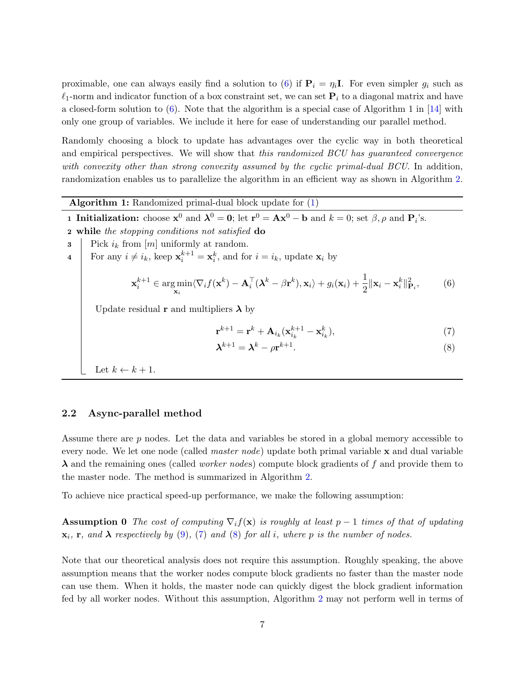<span id="page-6-5"></span>proximable, one can always easily find a solution to [\(6\)](#page-6-2) if  $P_i = \eta_i I$ . For even simpler  $g_i$  such as  $\ell_1$ -norm and indicator function of a box constraint set, we can set  $P_i$  to a diagonal matrix and have a closed-form solution to  $(6)$ . Note that the algorithm is a special case of Algorithm 1 in [\[14\]](#page-24-6) with only one group of variables. We include it here for ease of understanding our parallel method.

Randomly choosing a block to update has advantages over the cyclic way in both theoretical and empirical perspectives. We will show that this randomized BCU has guaranteed convergence with convexity other than strong convexity assumed by the cyclic primal-dual BCU. In addition, randomization enables us to parallelize the algorithm in an efficient way as shown in Algorithm [2.](#page-8-0)

Algorithm 1: Randomized primal-dual block update for [\(1\)](#page-0-0)

<span id="page-6-0"></span>**1 Initialization:** choose  $\mathbf{x}^0$  and  $\mathbf{\lambda}^0 = \mathbf{0}$ ; let  $\mathbf{r}^0 = \mathbf{A}\mathbf{x}^0 - \mathbf{b}$  and  $k = 0$ ; set  $\beta$ ,  $\rho$  and  $\mathbf{P}_i$ 's.

- 2 while the stopping conditions not satisfied do
- $\mathbf{3}$  | Pick  $i_k$  from  $[m]$  uniformly at random.

4 For any  $i \neq i_k$ , keep  $\mathbf{x}_i^{k+1} = \mathbf{x}_i^k$ , and for  $i = i_k$ , update  $\mathbf{x}_i$  by

<span id="page-6-2"></span>
$$
\mathbf{x}_{i}^{k+1} \in \argmin_{\mathbf{x}_{i}} \langle \nabla_{i} f(\mathbf{x}^{k}) - \mathbf{A}_{i}^{\top} (\boldsymbol{\lambda}^{k} - \beta \mathbf{r}^{k}), \mathbf{x}_{i} \rangle + g_{i}(\mathbf{x}_{i}) + \frac{1}{2} ||\mathbf{x}_{i} - \mathbf{x}_{i}^{k}||_{\mathbf{P}_{i}}^{2},
$$
(6)

Update residual  ${\bf r}$  and multipliers  $\pmb \lambda$  by

<span id="page-6-4"></span><span id="page-6-3"></span>
$$
\mathbf{r}^{k+1} = \mathbf{r}^k + \mathbf{A}_{i_k} (\mathbf{x}_{i_k}^{k+1} - \mathbf{x}_{i_k}^k),\tag{7}
$$

<span id="page-6-1"></span>
$$
\lambda^{k+1} = \lambda^k - \rho \mathbf{r}^{k+1}.\tag{8}
$$

Let  $k \leftarrow k + 1$ .

#### 2.2 Async-parallel method

Assume there are p nodes. Let the data and variables be stored in a global memory accessible to every node. We let one node (called *master node*) update both primal variable  $x$  and dual variable  $\lambda$  and the remaining ones (called *worker nodes*) compute block gradients of f and provide them to the master node. The method is summarized in Algorithm [2.](#page-8-0)

To achieve nice practical speed-up performance, we make the following assumption:

**Assumption 0** The cost of computing  $\nabla_i f(\mathbf{x})$  is roughly at least  $p-1$  times of that of updating  $\mathbf{x}_i$ , r, and  $\boldsymbol{\lambda}$  respectively by [\(9\)](#page-8-1), [\(7\)](#page-6-3) and [\(8\)](#page-6-4) for all i, where p is the number of nodes.

Note that our theoretical analysis does not require this assumption. Roughly speaking, the above assumption means that the worker nodes compute block gradients no faster than the master node can use them. When it holds, the master node can quickly digest the block gradient information fed by all worker nodes. Without this assumption, Algorithm [2](#page-8-0) may not perform well in terms of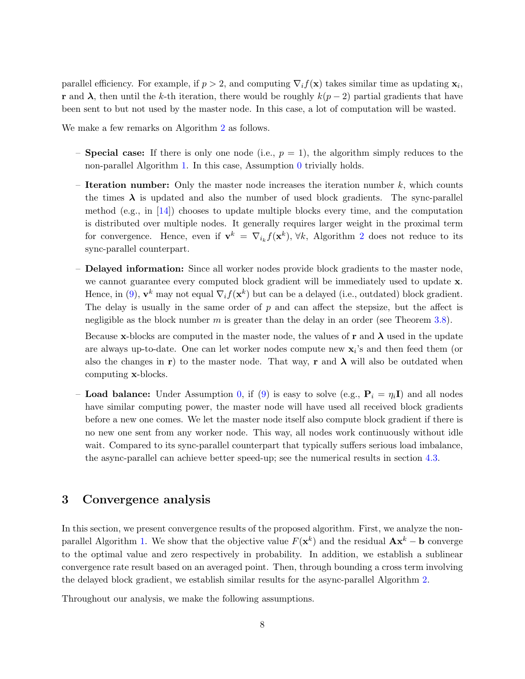<span id="page-7-2"></span>parallel efficiency. For example, if  $p > 2$ , and computing  $\nabla_i f(\mathbf{x})$  takes similar time as updating  $\mathbf{x}_i$ , r and  $\lambda$ , then until the k-th iteration, there would be roughly  $k(p-2)$  partial gradients that have been sent to but not used by the master node. In this case, a lot of computation will be wasted.

We make a few remarks on Algorithm [2](#page-8-0) as follows.

- **Special case:** If there is only one node (i.e.,  $p = 1$ ), the algorithm simply reduces to the non-parallel Algorithm [1.](#page-6-0) In this case, Assumption [0](#page-6-1) trivially holds.
- Iteration number: Only the master node increases the iteration number  $k$ , which counts the times  $\lambda$  is updated and also the number of used block gradients. The sync-parallel method (e.g., in [\[14\]](#page-24-6)) chooses to update multiple blocks every time, and the computation is distributed over multiple nodes. It generally requires larger weight in the proximal term for convergence. Hence, even if  $\mathbf{v}^k = \nabla_{i_k} f(\mathbf{x}^k)$ ,  $\forall k$ , Algorithm [2](#page-8-0) does not reduce to its sync-parallel counterpart.
- Delayed information: Since all worker nodes provide block gradients to the master node, we cannot guarantee every computed block gradient will be immediately used to update x. Hence, in [\(9\)](#page-8-1),  $\mathbf{v}^k$  may not equal  $\nabla_i f(\mathbf{x}^k)$  but can be a delayed (i.e., outdated) block gradient. The delay is usually in the same order of  $p$  and can affect the stepsize, but the affect is negligible as the block number  $m$  is greater than the delay in an order (see Theorem [3.8\)](#page-16-0).

Because x-blocks are computed in the master node, the values of  $\bf{r}$  and  $\lambda$  used in the update are always up-to-date. One can let worker nodes compute new  $x_i$ 's and then feed them (or also the changes in r) to the master node. That way, r and  $\lambda$  will also be outdated when computing x-blocks.

– Load balance: Under Assumption [0,](#page-6-1) if [\(9\)](#page-8-1) is easy to solve (e.g.,  $P_i = \eta_i I$ ) and all nodes have similar computing power, the master node will have used all received block gradients before a new one comes. We let the master node itself also compute block gradient if there is no new one sent from any worker node. This way, all nodes work continuously without idle wait. Compared to its sync-parallel counterpart that typically suffers serious load imbalance, the async-parallel can achieve better speed-up; see the numerical results in section [4.3.](#page-20-0)

# <span id="page-7-0"></span>3 Convergence analysis

In this section, we present convergence results of the proposed algorithm. First, we analyze the non-parallel Algorithm [1.](#page-6-0) We show that the objective value  $F(\mathbf{x}^k)$  and the residual  $\mathbf{A}\mathbf{x}^k - \mathbf{b}$  converge to the optimal value and zero respectively in probability. In addition, we establish a sublinear convergence rate result based on an averaged point. Then, through bounding a cross term involving the delayed block gradient, we establish similar results for the async-parallel Algorithm [2.](#page-8-0)

<span id="page-7-1"></span>Throughout our analysis, we make the following assumptions.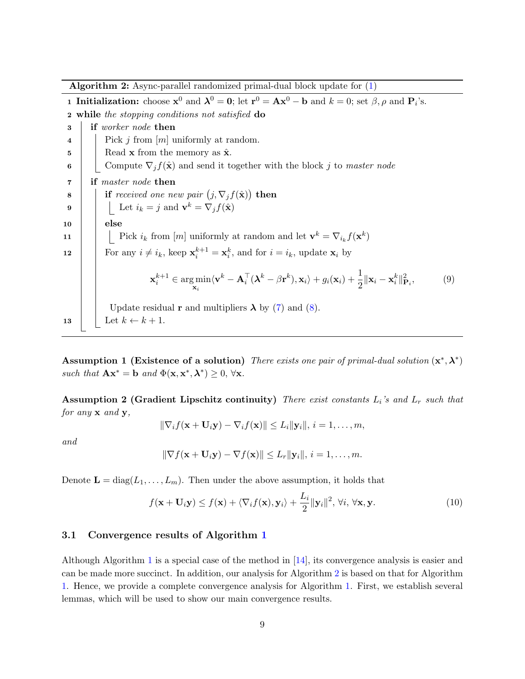<span id="page-8-6"></span><span id="page-8-0"></span>Algorithm 2: Async-parallel randomized primal-dual block update for [\(1\)](#page-0-0) **1 Initialization:** choose  $\mathbf{x}^0$  and  $\mathbf{\lambda}^0 = \mathbf{0}$ ; let  $\mathbf{r}^0 = \mathbf{A}\mathbf{x}^0 - \mathbf{b}$  and  $k = 0$ ; set  $\beta$ ,  $\rho$  and  $\mathbf{P}_i$ 's. 2 while the stopping conditions not satisfied do 3 if worker node then 4 | Pick j from  $[m]$  uniformly at random. 5 | Read **x** from the memory as  $\hat{\mathbf{x}}$ . 6 Compute  $\nabla_j f(\hat{\mathbf{x}})$  and send it together with the block j to master node 7 if master node then 8 if received one new pair  $(j, \nabla_j f(\hat{\mathbf{x}}))$  then  $\mathbf{9}$   $\parallel$   $\parallel$  Let  $i_k = j$  and  $\mathbf{v}^k = \nabla_j f(\hat{\mathbf{x}})$  $10$  else 11 | | Pick  $i_k$  from  $[m]$  uniformly at random and let  $\mathbf{v}^k = \nabla_{i_k} f(\mathbf{x}^k)$ 12 | For any  $i \neq i_k$ , keep  $\mathbf{x}_i^{k+1} = \mathbf{x}_i^k$ , and for  $i = i_k$ , update  $\mathbf{x}_i$  by  $\mathbf{x}_i^{k+1} \in \argmin_{\mathbf{x}_i}$  $\langle \mathbf{v}^k - \mathbf{A}_i^{\top}(\boldsymbol{\lambda}^k - \beta \mathbf{r}^k), \mathbf{x}_i \rangle + g_i(\mathbf{x}_i) + \frac{1}{2} \|\mathbf{x}_i - \mathbf{x}_i^k\|_{\mathbf{P}_i}^2$ Update residual **r** and multipliers  $\lambda$  by [\(7\)](#page-6-3) and [\(8\)](#page-6-4). 13 | Let  $k \leftarrow k + 1$ .

<span id="page-8-1"></span>Assumption 1 (Existence of a solution) There exists one pair of primal-dual solution  $(x^*, \lambda^*)$ such that  $\mathbf{A}\mathbf{x}^* = \mathbf{b}$  and  $\Phi(\mathbf{x}, \mathbf{x}^*, \boldsymbol{\lambda}^*) \geq 0$ ,  $\forall \mathbf{x}$ .

<span id="page-8-4"></span>Assumption 2 (Gradient Lipschitz continuity) There exist constants  $L_i$ 's and  $L_r$  such that for any  $x$  and  $y$ ,

$$
\|\nabla_i f(\mathbf{x} + \mathbf{U}_i \mathbf{y}) - \nabla_i f(\mathbf{x})\| \le L_i \|\mathbf{y}_i\|, i = 1,\ldots,m,
$$

and

$$
\|\nabla f(\mathbf{x}+\mathbf{U}_i\mathbf{y})-\nabla f(\mathbf{x})\|\leq L_r\|\mathbf{y}_i\|, i=1,\ldots,m.
$$

Denote  $\mathbf{L} = \text{diag}(L_1, \ldots, L_m)$ . Then under the above assumption, it holds that

<span id="page-8-3"></span><span id="page-8-2"></span>
$$
f(\mathbf{x} + \mathbf{U}_i \mathbf{y}) \le f(\mathbf{x}) + \langle \nabla_i f(\mathbf{x}), \mathbf{y}_i \rangle + \frac{L_i}{2} ||\mathbf{y}_i||^2, \forall i, \forall \mathbf{x}, \mathbf{y}.
$$
 (10)

 $(9)$ 

#### <span id="page-8-5"></span>3.1 Convergence results of Algorithm [1](#page-6-0)

Although Algorithm [1](#page-6-0) is a special case of the method in [\[14\]](#page-24-6), its convergence analysis is easier and can be made more succinct. In addition, our analysis for Algorithm [2](#page-8-0) is based on that for Algorithm [1.](#page-6-0) Hence, we provide a complete convergence analysis for Algorithm [1.](#page-6-0) First, we establish several lemmas, which will be used to show our main convergence results.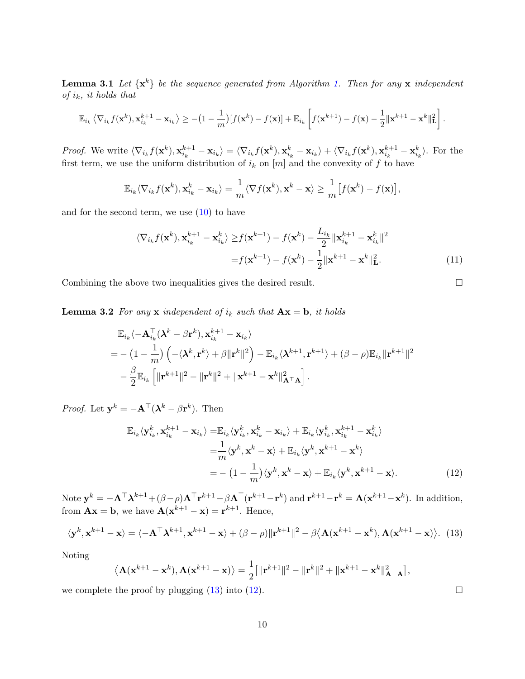**Lemma 3.1** Let  $\{x^k\}$  be the sequence generated from Algorithm [1.](#page-6-0) Then for any x independent of  $i_k$ , it holds that

$$
\mathbb{E}_{i_k} \left\langle \nabla_{i_k} f(\mathbf{x}^k), \mathbf{x}_{i_k}^{k+1} - \mathbf{x}_{i_k} \right\rangle \geq -(1 - \frac{1}{m}) \left[ f(\mathbf{x}^k) - f(\mathbf{x}) \right] + \mathbb{E}_{i_k} \left[ f(\mathbf{x}^{k+1}) - f(\mathbf{x}) - \frac{1}{2} ||\mathbf{x}^{k+1} - \mathbf{x}^k||^2_{\mathbf{L}} \right].
$$

*Proof.* We write  $\langle \nabla_{i_k} f(\mathbf{x}^k), \mathbf{x}_{i_k}^{k+1} - \mathbf{x}_{i_k} \rangle = \langle \nabla_{i_k} f(\mathbf{x}^k), \mathbf{x}_{i_k}^k - \mathbf{x}_{i_k} \rangle + \langle \nabla_{i_k} f(\mathbf{x}^k), \mathbf{x}_{i_k}^{k+1} - \mathbf{x}_{i_k}^k \rangle$ . For the first term, we use the uniform distribution of  $i_k$  on  $[m]$  and the convexity of f to have

$$
\mathbb{E}_{i_k} \langle \nabla_{i_k} f(\mathbf{x}^k), \mathbf{x}_{i_k}^k - \mathbf{x}_{i_k} \rangle = \frac{1}{m} \langle \nabla f(\mathbf{x}^k), \mathbf{x}^k - \mathbf{x} \rangle \ge \frac{1}{m} \big[ f(\mathbf{x}^k) - f(\mathbf{x}) \big],
$$

and for the second term, we use  $(10)$  to have

$$
\langle \nabla_{i_k} f(\mathbf{x}^k), \mathbf{x}_{i_k}^{k+1} - \mathbf{x}_{i_k}^k \rangle \ge f(\mathbf{x}^{k+1}) - f(\mathbf{x}^k) - \frac{L_{i_k}}{2} \|\mathbf{x}_{i_k}^{k+1} - \mathbf{x}_{i_k}^k\|^2
$$

$$
= f(\mathbf{x}^{k+1}) - f(\mathbf{x}^k) - \frac{1}{2} \|\mathbf{x}^{k+1} - \mathbf{x}^k\|_{\mathbf{L}}^2.
$$
 (11)

Combining the above two inequalities gives the desired result.

<span id="page-9-4"></span>**Lemma 3.2** For any **x** independent of  $i_k$  such that  $Ax = b$ , it holds

$$
\mathbb{E}_{i_k}\langle -\mathbf{A}_{i_k}^{\top}(\boldsymbol{\lambda}^k - \beta \mathbf{r}^k), \mathbf{x}_{i_k}^{k+1} - \mathbf{x}_{i_k}\rangle
$$
\n
$$
= -\left(1 - \frac{1}{m}\right)\left(-\langle \boldsymbol{\lambda}^k, \mathbf{r}^k \rangle + \beta \|\mathbf{r}^k\|^2\right) - \mathbb{E}_{i_k}\langle \boldsymbol{\lambda}^{k+1}, \mathbf{r}^{k+1} \rangle + (\beta - \rho)\mathbb{E}_{i_k}\|\mathbf{r}^{k+1}\|^2
$$
\n
$$
- \frac{\beta}{2}\mathbb{E}_{i_k}\left[\|\mathbf{r}^{k+1}\|^2 - \|\mathbf{r}^k\|^2 + \|\mathbf{x}^{k+1} - \mathbf{x}^k\|_{\mathbf{A}^\top \mathbf{A}}^2\right].
$$

*Proof.* Let  $\mathbf{y}^k = -\mathbf{A}^\top(\mathbf{\lambda}^k - \beta \mathbf{r}^k)$ . Then

$$
\mathbb{E}_{i_k} \langle \mathbf{y}_{i_k}^k, \mathbf{x}_{i_k}^{k+1} - \mathbf{x}_{i_k} \rangle = \mathbb{E}_{i_k} \langle \mathbf{y}_{i_k}^k, \mathbf{x}_{i_k}^k - \mathbf{x}_{i_k} \rangle + \mathbb{E}_{i_k} \langle \mathbf{y}_{i_k}^k, \mathbf{x}_{i_k}^{k+1} - \mathbf{x}_{i_k}^k \rangle
$$
  
\n
$$
= \frac{1}{m} \langle \mathbf{y}^k, \mathbf{x}^k - \mathbf{x} \rangle + \mathbb{E}_{i_k} \langle \mathbf{y}^k, \mathbf{x}^{k+1} - \mathbf{x}^k \rangle
$$
  
\n
$$
= -\left(1 - \frac{1}{m}\right) \langle \mathbf{y}^k, \mathbf{x}^k - \mathbf{x} \rangle + \mathbb{E}_{i_k} \langle \mathbf{y}^k, \mathbf{x}^{k+1} - \mathbf{x} \rangle.
$$
 (12)

Note  $\mathbf{y}^k = -\mathbf{A}^\top \boldsymbol{\lambda}^{k+1} + (\beta - \rho) \mathbf{A}^\top \mathbf{r}^{k+1} - \beta \mathbf{A}^\top (\mathbf{r}^{k+1} - \mathbf{r}^k)$  and  $\mathbf{r}^{k+1} - \mathbf{r}^k = \mathbf{A}(\mathbf{x}^{k+1} - \mathbf{x}^k)$ . In addition, from  $\mathbf{A}\mathbf{x} = \mathbf{b}$ , we have  $\mathbf{A}(\mathbf{x}^{k+1} - \mathbf{x}) = \mathbf{r}^{k+1}$ . Hence,

$$
\langle \mathbf{y}^k, \mathbf{x}^{k+1} - \mathbf{x} \rangle = \langle -\mathbf{A}^\top \mathbf{\lambda}^{k+1}, \mathbf{x}^{k+1} - \mathbf{x} \rangle + (\beta - \rho) \|\mathbf{r}^{k+1}\|^2 - \beta \langle \mathbf{A}(\mathbf{x}^{k+1} - \mathbf{x}^k), \mathbf{A}(\mathbf{x}^{k+1} - \mathbf{x}) \rangle. \tag{13}
$$

Noting

$$
\left\langle \mathbf{A}(\mathbf{x}^{k+1}-\mathbf{x}^k),\mathbf{A}(\mathbf{x}^{k+1}-\mathbf{x})\right\rangle=\frac{1}{2}\big[\|\mathbf{r}^{k+1}\|^2-\|\mathbf{r}^{k}\|^2+\|\mathbf{x}^{k+1}-\mathbf{x}^{k}\|_{\mathbf{A}^{\top}\mathbf{A}}^2
$$

<span id="page-9-2"></span>we complete the proof by plugging [\(13\)](#page-9-0) into [\(12\)](#page-9-1).  $\square$ 

<span id="page-9-1"></span><span id="page-9-0"></span>,

<span id="page-9-3"></span>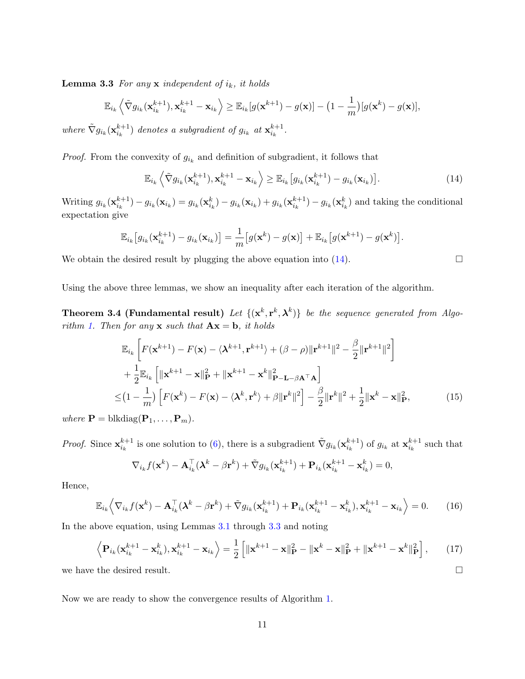**Lemma 3.3** For any  $x$  independent of  $i_k$ , it holds

$$
\mathbb{E}_{i_k} \left\langle \tilde{\nabla} g_{i_k}(\mathbf{x}_{i_k}^{k+1}), \mathbf{x}_{i_k}^{k+1} - \mathbf{x}_{i_k} \right\rangle \geq \mathbb{E}_{i_k} [g(\mathbf{x}^{k+1}) - g(\mathbf{x})] - \left(1 - \frac{1}{m}\right) [g(\mathbf{x}^k) - g(\mathbf{x})],
$$

where  $\tilde{\nabla} g_{i_k}(\mathbf{x}_{i_k}^{k+1})$  denotes a subgradient of  $g_{i_k}$  at  $\mathbf{x}_{i_k}^{k+1}$ .

*Proof.* From the convexity of  $g_{i_k}$  and definition of subgradient, it follows that

<span id="page-10-0"></span>
$$
\mathbb{E}_{i_k} \left\langle \tilde{\nabla} g_{i_k}(\mathbf{x}_{i_k}^{k+1}), \mathbf{x}_{i_k}^{k+1} - \mathbf{x}_{i_k} \right\rangle \ge \mathbb{E}_{i_k} \left[ g_{i_k}(\mathbf{x}_{i_k}^{k+1}) - g_{i_k}(\mathbf{x}_{i_k}) \right]. \tag{14}
$$

Writing  $g_{i_k}(\mathbf{x}_{i_k}^{k+1}) - g_{i_k}(\mathbf{x}_{i_k}) = g_{i_k}(\mathbf{x}_{i_k}^k) - g_{i_k}(\mathbf{x}_{i_k}^{k+1}) - g_{i_k}(\mathbf{x}_{i_k}^k)$  and taking the conditional expectation give

$$
\mathbb{E}_{i_k}\big[g_{i_k}(\mathbf{x}_{i_k}^{k+1})-g_{i_k}(\mathbf{x}_{i_k})\big]=\frac{1}{m}\big[g(\mathbf{x}^k)-g(\mathbf{x})\big]+\mathbb{E}_{i_k}\big[g(\mathbf{x}^{k+1})-g(\mathbf{x}^k)\big].
$$

We obtain the desired result by plugging the above equation into  $(14)$ .

Using the above three lemmas, we show an inequality after each iteration of the algorithm.

**Theorem 3.4 (Fundamental result)** Let  $\{(\mathbf{x}^k, \mathbf{r}^k, \boldsymbol{\lambda}^k)\}$  be the sequence generated from Algo-rithm [1.](#page-6-0) Then for any  $x$  such that  $Ax = b$ , it holds

$$
\mathbb{E}_{i_k} \left[ F(\mathbf{x}^{k+1}) - F(\mathbf{x}) - \langle \boldsymbol{\lambda}^{k+1}, \mathbf{r}^{k+1} \rangle + (\beta - \rho) \|\mathbf{r}^{k+1}\|^2 - \frac{\beta}{2} \|\mathbf{r}^{k+1}\|^2 \right] \n+ \frac{1}{2} \mathbb{E}_{i_k} \left[ \|\mathbf{x}^{k+1} - \mathbf{x}\|^2_{\mathbf{P}} + \|\mathbf{x}^{k+1} - \mathbf{x}^k\|^2_{\mathbf{P} - \mathbf{L} - \beta \mathbf{A}^\top \mathbf{A}} \right] \n\leq (1 - \frac{1}{m}) \left[ F(\mathbf{x}^k) - F(\mathbf{x}) - \langle \boldsymbol{\lambda}^k, \mathbf{r}^k \rangle + \beta \|\mathbf{r}^k\|^2 \right] - \frac{\beta}{2} \|\mathbf{r}^k\|^2 + \frac{1}{2} \|\mathbf{x}^k - \mathbf{x}\|^2_{\mathbf{P}},
$$
\n(15)

where  $\mathbf{P} = \text{blkdiag}(\mathbf{P}_1, \dots, \mathbf{P}_m)$ .

*Proof.* Since  $\mathbf{x}_{i_k}^{k+1}$  is one solution to [\(6\)](#page-6-2), there is a subgradient  $\tilde{\nabla} g_{i_k}(\mathbf{x}_{i_k}^{k+1})$  of  $g_{i_k}$  at  $\mathbf{x}_{i_k}^{k+1}$  such that

<span id="page-10-4"></span><span id="page-10-2"></span><span id="page-10-1"></span>
$$
\nabla_{i_k} f(\mathbf{x}^k) - \mathbf{A}_{i_k}^\top (\boldsymbol{\lambda}^k - \beta \mathbf{r}^k) + \tilde{\nabla} g_{i_k}(\mathbf{x}_{i_k}^{k+1}) + \mathbf{P}_{i_k}(\mathbf{x}_{i_k}^{k+1} - \mathbf{x}_{i_k}^k) = 0,
$$

Hence,

$$
\mathbb{E}_{i_k} \left\langle \nabla_{i_k} f(\mathbf{x}^k) - \mathbf{A}_{i_k}^\top (\boldsymbol{\lambda}^k - \beta \mathbf{r}^k) + \tilde{\nabla} g_{i_k}(\mathbf{x}_{i_k}^{k+1}) + \mathbf{P}_{i_k}(\mathbf{x}_{i_k}^{k+1} - \mathbf{x}_{i_k}^k), \mathbf{x}_{i_k}^{k+1} - \mathbf{x}_{i_k} \right\rangle = 0. \tag{16}
$$

In the above equation, using Lemmas [3.1](#page-8-3) through [3.3](#page-9-2) and noting

<span id="page-10-3"></span>
$$
\left\langle \mathbf{P}_{i_k}(\mathbf{x}_{i_k}^{k+1} - \mathbf{x}_{i_k}^k), \mathbf{x}_{i_k}^{k+1} - \mathbf{x}_{i_k} \right\rangle = \frac{1}{2} \left[ \|\mathbf{x}^{k+1} - \mathbf{x}\|_{\mathbf{P}}^2 - \|\mathbf{x}^k - \mathbf{x}\|_{\mathbf{P}}^2 + \|\mathbf{x}^{k+1} - \mathbf{x}^k\|_{\mathbf{P}}^2 \right],\tag{17}
$$

we have the desired result.  $\Box$ 

Now we are ready to show the convergence results of Algorithm [1.](#page-6-0)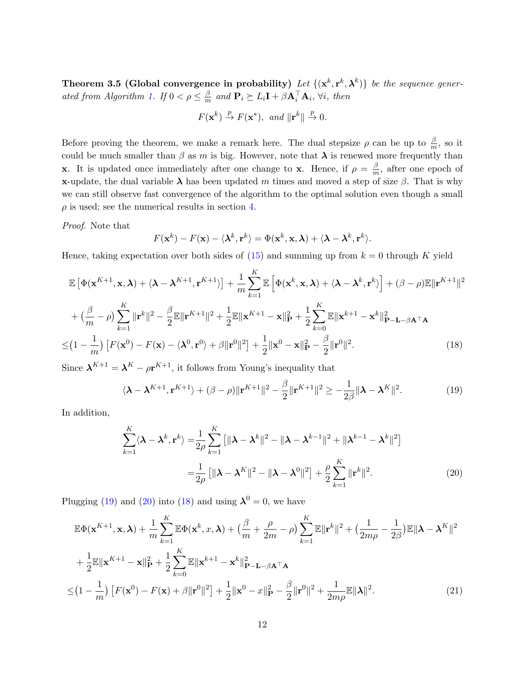Theorem 3.5 (Global convergence in probability) Let  $\{(\mathbf{x}^k, \mathbf{r}^k, \boldsymbol{\lambda}^k)\}\$  be the sequence gener-ated from Algorithm [1.](#page-6-0) If  $0 < \rho \leq \frac{\beta}{n}$  $\frac{\beta}{m}$  and  $\mathbf{P}_i \succeq L_i \mathbf{I} + \beta \mathbf{A}_i^{\top} \mathbf{A}_i$ ,  $\forall i$ , then

$$
F(\mathbf{x}^k) \stackrel{p}{\to} F(\mathbf{x}^*), \text{ and } \|\mathbf{r}^k\| \stackrel{p}{\to} 0.
$$

Before proving the theorem, we make a remark here. The dual stepsize  $\rho$  can be up to  $\frac{\beta}{m}$ , so it could be much smaller than  $\beta$  as m is big. However, note that  $\lambda$  is renewed more frequently than **x**. It is updated once immediately after one change to **x**. Hence, if  $\rho = \frac{\beta}{m}$  $\frac{\beta}{m}$ , after one epoch of x-update, the dual variable  $\lambda$  has been updated m times and moved a step of size  $\beta$ . That is why we can still observe fast convergence of the algorithm to the optimal solution even though a small  $\rho$  is used; see the numerical results in section [4.](#page-17-1)

Proof. Note that

<span id="page-11-2"></span>
$$
F(\mathbf{x}^k) - F(\mathbf{x}) - \langle \boldsymbol{\lambda}^k, \mathbf{r}^k \rangle = \Phi(\mathbf{x}^k, \mathbf{x}, \boldsymbol{\lambda}) + \langle \boldsymbol{\lambda} - \boldsymbol{\lambda}^k, \mathbf{r}^k \rangle.
$$

Hence, taking expectation over both sides of  $(15)$  and summing up from  $k = 0$  through K yield

$$
\mathbb{E}\left[\Phi(\mathbf{x}^{K+1}, \mathbf{x}, \boldsymbol{\lambda}) + \langle \boldsymbol{\lambda} - \boldsymbol{\lambda}^{K+1}, \mathbf{r}^{K+1} \rangle\right] + \frac{1}{m} \sum_{k=1}^{K} \mathbb{E}\left[\Phi(\mathbf{x}^{k}, \mathbf{x}, \boldsymbol{\lambda}) + \langle \boldsymbol{\lambda} - \boldsymbol{\lambda}^{k}, \mathbf{r}^{k} \rangle\right] + (\beta - \rho) \mathbb{E}||\mathbf{r}^{K+1}||^{2} + \left(\frac{\beta}{m} - \rho\right) \sum_{k=1}^{K} ||\mathbf{r}^{k}||^{2} - \frac{\beta}{2} \mathbb{E}||\mathbf{r}^{K+1}||^{2} + \frac{1}{2} \mathbb{E}||\mathbf{x}^{K+1} - \mathbf{x}||_{\mathbf{P}}^{2} + \frac{1}{2} \sum_{k=0}^{K} \mathbb{E}||\mathbf{x}^{k+1} - \mathbf{x}^{k}||_{\mathbf{P}-\mathbf{L}-\beta\mathbf{A}^{\top}\mathbf{A}}^{2} \n\leq (1 - \frac{1}{m}) \left[F(\mathbf{x}^{0}) - F(\mathbf{x}) - \langle \boldsymbol{\lambda}^{0}, \mathbf{r}^{0} \rangle + \beta \|\mathbf{r}^{0}\|^{2}\right] + \frac{1}{2} \|\mathbf{x}^{0} - \mathbf{x}\|_{\mathbf{P}}^{2} - \frac{\beta}{2} \|\mathbf{r}^{0}\|^{2}.
$$
\n(18)

Since  $\mathbf{\lambda}^{K+1} = \mathbf{\lambda}^{K} - \rho \mathbf{r}^{K+1}$ , it follows from Young's inequality that

<span id="page-11-0"></span>
$$
\langle \mathbf{\lambda} - \mathbf{\lambda}^{K+1}, \mathbf{r}^{K+1} \rangle + (\beta - \rho) \|\mathbf{r}^{K+1}\|^2 - \frac{\beta}{2} \|\mathbf{r}^{K+1}\|^2 \ge -\frac{1}{2\beta} \|\mathbf{\lambda} - \mathbf{\lambda}^K\|^2. \tag{19}
$$

In addition,

<span id="page-11-3"></span><span id="page-11-1"></span>
$$
\sum_{k=1}^{K} \langle \boldsymbol{\lambda} - \boldsymbol{\lambda}^{k}, \mathbf{r}^{k} \rangle = \frac{1}{2\rho} \sum_{k=1}^{K} \left[ \| \boldsymbol{\lambda} - \boldsymbol{\lambda}^{k} \|^{2} - \| \boldsymbol{\lambda} - \boldsymbol{\lambda}^{k-1} \|^{2} + \| \boldsymbol{\lambda}^{k-1} - \boldsymbol{\lambda}^{k} \|^{2} \right]
$$

$$
= \frac{1}{2\rho} \left[ \| \boldsymbol{\lambda} - \boldsymbol{\lambda}^{K} \|^{2} - \| \boldsymbol{\lambda} - \boldsymbol{\lambda}^{0} \|^{2} \right] + \frac{\rho}{2} \sum_{k=1}^{K} \| \mathbf{r}^{k} \|^{2}.
$$
 (20)

Plugging [\(19\)](#page-11-0) and [\(20\)](#page-11-1) into [\(18\)](#page-11-2) and using  $\lambda^0 = 0$ , we have

$$
\mathbb{E}\Phi(\mathbf{x}^{K+1}, \mathbf{x}, \boldsymbol{\lambda}) + \frac{1}{m} \sum_{k=1}^{K} \mathbb{E}\Phi(\mathbf{x}^{k}, x, \boldsymbol{\lambda}) + \left(\frac{\beta}{m} + \frac{\rho}{2m} - \rho\right) \sum_{k=1}^{K} \mathbb{E}\|\mathbf{r}^{k}\|^{2} + \left(\frac{1}{2m\rho} - \frac{1}{2\beta}\right)\mathbb{E}\|\boldsymbol{\lambda} - \boldsymbol{\lambda}^{K}\|^{2}
$$

$$
+ \frac{1}{2} \mathbb{E}\|\mathbf{x}^{K+1} - \mathbf{x}\|_{\mathbf{P}}^{2} + \frac{1}{2} \sum_{k=0}^{K} \mathbb{E}\|\mathbf{x}^{k+1} - \mathbf{x}^{k}\|_{\mathbf{P}-\mathbf{L}-\beta\mathbf{A}^{\top}\mathbf{A}}^{2}
$$

$$
\leq \left(1 - \frac{1}{m}\right) \left[F(\mathbf{x}^{0}) - F(\mathbf{x}) + \beta\|\mathbf{r}^{0}\|^{2}\right] + \frac{1}{2} \|\mathbf{x}^{0} - x\|_{\mathbf{P}}^{2} - \frac{\beta}{2} \|\mathbf{r}^{0}\|^{2} + \frac{1}{2m\rho} \mathbb{E}\|\boldsymbol{\lambda}\|^{2}.
$$
(21)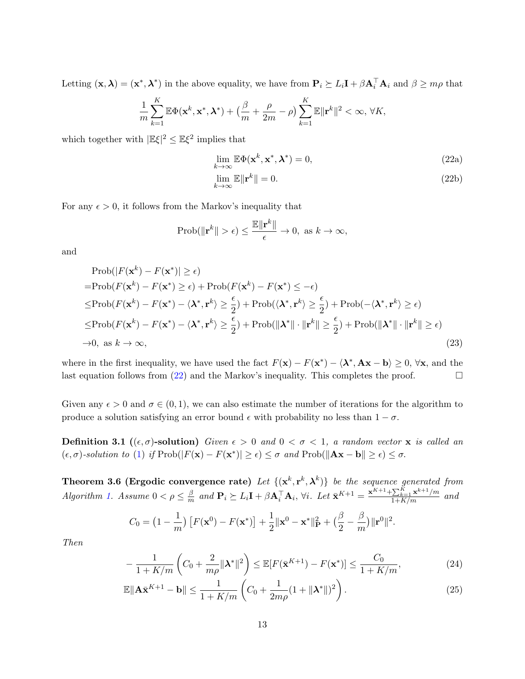Letting  $(\mathbf{x}, \boldsymbol{\lambda}) = (\mathbf{x}^*, \boldsymbol{\lambda}^*)$  in the above equality, we have from  $\mathbf{P}_i \succeq L_i \mathbf{I} + \beta \mathbf{A}_i^{\top} \mathbf{A}_i$  and  $\beta \geq m\rho$  that

$$
\frac{1}{m}\sum_{k=1}^K \mathbb{E}\Phi(\mathbf{x}^k, \mathbf{x}^*, \boldsymbol{\lambda}^*) + \left(\frac{\beta}{m} + \frac{\rho}{2m} - \rho\right) \sum_{k=1}^K \mathbb{E} \|\mathbf{r}^k\|^2 < \infty, \ \forall K,
$$

which together with  $|\mathbb{E}\xi|^2 \leq \mathbb{E}\xi^2$  implies that

<span id="page-12-0"></span>
$$
\lim_{k \to \infty} \mathbb{E}\Phi(\mathbf{x}^k, \mathbf{x}^*, \boldsymbol{\lambda}^*) = 0,
$$
\n(22a)

<span id="page-12-3"></span>
$$
\lim_{k \to \infty} \mathbb{E} \|\mathbf{r}^k\| = 0. \tag{22b}
$$

For any  $\epsilon > 0$ , it follows from the Markov's inequality that

$$
\text{Prob}(\|\mathbf{r}^k\| > \epsilon) \le \frac{\mathbb{E}\|\mathbf{r}^k\|}{\epsilon} \to 0, \text{ as } k \to \infty,
$$

and

$$
\text{Prob}(|F(\mathbf{x}^{k}) - F(\mathbf{x}^{*})| \geq \epsilon)
$$
\n
$$
= \text{Prob}(F(\mathbf{x}^{k}) - F(\mathbf{x}^{*}) \geq \epsilon) + \text{Prob}(F(\mathbf{x}^{k}) - F(\mathbf{x}^{*}) \leq -\epsilon)
$$
\n
$$
\leq \text{Prob}(F(\mathbf{x}^{k}) - F(\mathbf{x}^{*}) - \langle \lambda^{*}, \mathbf{r}^{k} \rangle \geq \frac{\epsilon}{2}) + \text{Prob}(\langle \lambda^{*}, \mathbf{r}^{k} \rangle \geq \frac{\epsilon}{2}) + \text{Prob}(-\langle \lambda^{*}, \mathbf{r}^{k} \rangle \geq \epsilon)
$$
\n
$$
\leq \text{Prob}(F(\mathbf{x}^{k}) - F(\mathbf{x}^{*}) - \langle \lambda^{*}, \mathbf{r}^{k} \rangle \geq \frac{\epsilon}{2}) + \text{Prob}(\|\lambda^{*}\| \cdot \|\mathbf{r}^{k}\| \geq \frac{\epsilon}{2}) + \text{Prob}(\|\lambda^{*}\| \cdot \|\mathbf{r}^{k}\| \geq \epsilon)
$$
\n
$$
\to 0, \text{ as } k \to \infty,
$$
\n(23)

where in the first inequality, we have used the fact  $F(\mathbf{x}) - F(\mathbf{x}^*) - \langle \mathbf{\lambda}^*, \mathbf{A}\mathbf{x} - \mathbf{b} \rangle \ge 0$ ,  $\forall \mathbf{x}$ , and the last equation follows from  $(22)$  and the Markov's inequality. This completes the proof.

Given any  $\epsilon > 0$  and  $\sigma \in (0, 1)$ , we can also estimate the number of iterations for the algorithm to produce a solution satisfying an error bound  $\epsilon$  with probability no less than  $1 - \sigma$ .

**Definition 3.1** (( $\epsilon, \sigma$ )-solution) Given  $\epsilon > 0$  and  $0 < \sigma < 1$ , a random vector **x** is called an  $(\epsilon, \sigma)$ -solution to [\(1\)](#page-0-0) if  $\text{Prob}(|F(\mathbf{x}) - F(\mathbf{x}^*)| \geq \epsilon) \leq \sigma$  and  $\text{Prob}(\|\mathbf{Ax} - \mathbf{b}\| \geq \epsilon) \leq \sigma$ .

<span id="page-12-4"></span>**Theorem 3.6 (Ergodic convergence rate)** Let  $\{(\mathbf{x}^k, \mathbf{r}^k, \boldsymbol{\lambda}^k)\}$  be the sequence generated from Algorithm [1.](#page-6-0) Assume  $0 < \rho \leq \frac{\beta}{m}$  $\frac{\beta}{m}$  and  $\mathbf{P}_i \succeq L_i \mathbf{I} + \beta \mathbf{A}_i^{\top} \mathbf{A}_i$ ,  $\forall i$ . Let  $\bar{\mathbf{x}}^{K+1} = \frac{\mathbf{x}^{K+1} + \sum_{k=1}^{K} \mathbf{x}^{k+1}/m}{1 + K/m}$  and

<span id="page-12-1"></span>
$$
C_0 = \left(1 - \frac{1}{m}\right) \left[F(\mathbf{x}^0) - F(\mathbf{x}^*)\right] + \frac{1}{2} ||\mathbf{x}^0 - \mathbf{x}^*||^2 + \left(\frac{\beta}{2} - \frac{\beta}{m}\right) ||\mathbf{r}^0||^2.
$$

Then

<span id="page-12-2"></span>
$$
-\frac{1}{1+K/m}\left(C_0+\frac{2}{m\rho}\|\mathbf{\lambda}^*\|^2\right)\leq \mathbb{E}[F(\bar{\mathbf{x}}^{K+1})-F(\mathbf{x}^*)]\leq \frac{C_0}{1+K/m},\tag{24}
$$

$$
\mathbb{E}\|\mathbf{A}\bar{\mathbf{x}}^{K+1} - \mathbf{b}\| \le \frac{1}{1 + K/m} \left( C_0 + \frac{1}{2m\rho} (1 + \|\boldsymbol{\lambda}^*\|)^2 \right). \tag{25}
$$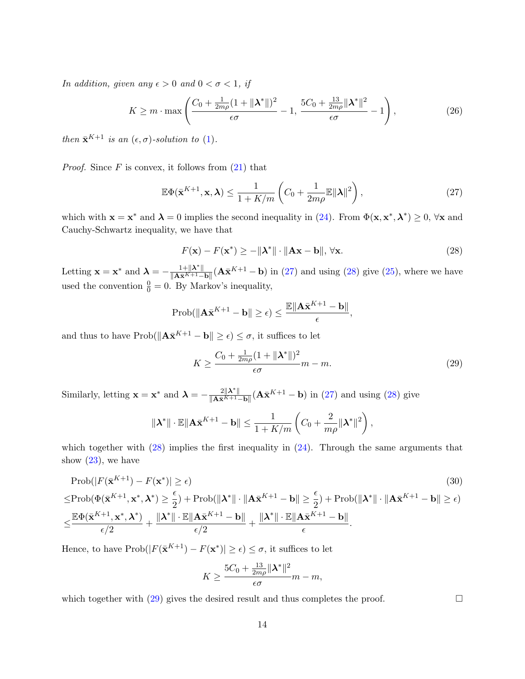In addition, given any  $\epsilon > 0$  and  $0 < \sigma < 1$ , if

<span id="page-13-3"></span>
$$
K \ge m \cdot \max\left(\frac{C_0 + \frac{1}{2m\rho}(1 + \|\boldsymbol{\lambda}^*\|)^2}{\epsilon \sigma} - 1, \frac{5C_0 + \frac{13}{2m\rho}\|\boldsymbol{\lambda}^*\|^2}{\epsilon \sigma} - 1\right),\tag{26}
$$

then  $\bar{\mathbf{x}}^{K+1}$  is an  $(\epsilon, \sigma)$ -solution to [\(1\)](#page-0-0).

*Proof.* Since F is convex, it follows from  $(21)$  that

<span id="page-13-0"></span>
$$
\mathbb{E}\Phi(\bar{\mathbf{x}}^{K+1}, \mathbf{x}, \boldsymbol{\lambda}) \le \frac{1}{1 + K/m} \left( C_0 + \frac{1}{2m\rho} \mathbb{E} \|\boldsymbol{\lambda}\|^2 \right),\tag{27}
$$

which with  $\mathbf{x} = \mathbf{x}^*$  and  $\boldsymbol{\lambda} = 0$  implies the second inequality in [\(24\)](#page-12-1). From  $\Phi(\mathbf{x}, \mathbf{x}^*, \boldsymbol{\lambda}^*) \geq 0$ ,  $\forall \mathbf{x}$  and Cauchy-Schwartz inequality, we have that

<span id="page-13-1"></span>
$$
F(\mathbf{x}) - F(\mathbf{x}^*) \ge -\|\mathbf{\lambda}^*\| \cdot \|\mathbf{A}\mathbf{x} - \mathbf{b}\|, \forall \mathbf{x}.
$$
 (28)

Letting  $\mathbf{x} = \mathbf{x}^*$  and  $\boldsymbol{\lambda} = -\frac{1 + ||\boldsymbol{\lambda}^*||}{||\boldsymbol{\lambda} \cdot \boldsymbol{\overline{\Phi}} \cdot \boldsymbol{K} + 1}$  $\frac{1+\|\mathbf{\lambda}^*\|}{\|\mathbf{A}\bar{\mathbf{x}}^{K+1}-\mathbf{b}\|}(\mathbf{A}\bar{\mathbf{x}}^{K+1}-\mathbf{b})$  in [\(27\)](#page-13-0) and using [\(28\)](#page-13-1) give [\(25\)](#page-12-2), where we have used the convention  $\frac{0}{0} = 0$ . By Markov's inequality,

$$
\text{Prob}(\|\mathbf{A}\bar{\mathbf{x}}^{K+1} - \mathbf{b}\| \geq \epsilon) \leq \frac{\mathbb{E}\|\mathbf{A}\bar{\mathbf{x}}^{K+1} - \mathbf{b}\|}{\epsilon},
$$

and thus to have  $\text{Prob}(\|\mathbf{A}\bar{\mathbf{x}}^{K+1} - \mathbf{b}\| \geq \epsilon) \leq \sigma$ , it suffices to let

<span id="page-13-2"></span>
$$
K \ge \frac{C_0 + \frac{1}{2m\rho}(1 + \|\lambda^*\|)^2}{\epsilon \sigma} m - m. \tag{29}
$$

Similarly, letting  $\mathbf{x} = \mathbf{x}^*$  and  $\boldsymbol{\lambda} = -\frac{2\|\boldsymbol{\lambda}^*\|}{\|\boldsymbol{\lambda}\| \boldsymbol{\mu} \|\boldsymbol{\lambda}^* \|}$  $\frac{2\|\mathbf{A}^*\|}{\|\mathbf{A}\bar{\mathbf{x}}^{K+1}-\mathbf{b}\|}(\mathbf{A}\bar{\mathbf{x}}^{K+1}-\mathbf{b})$  in [\(27\)](#page-13-0) and using [\(28\)](#page-13-1) give

$$
\|\boldsymbol{\lambda}^*\| \cdot \mathbb{E} \|\mathbf{A}\bar{\mathbf{x}}^{K+1} - \mathbf{b}\| \le \frac{1}{1 + K/m} \left( C_0 + \frac{2}{m\rho} \|\boldsymbol{\lambda}^*\|^2 \right),
$$

which together with  $(28)$  implies the first inequality in  $(24)$ . Through the same arguments that show  $(23)$ , we have

$$
\text{Prob}(|F(\bar{\mathbf{x}}^{K+1}) - F(\mathbf{x}^*)| \ge \epsilon) \tag{30}
$$

$$
\begin{aligned} &\leq& \mathrm{Prob}(\Phi(\bar{\mathbf{x}}^{K+1}, \mathbf{x}^*, \boldsymbol{\lambda}^*)\geq \frac{\epsilon}{2})+\mathrm{Prob}(\|\boldsymbol{\lambda}^*\|\cdot\|\mathbf{A}\bar{\mathbf{x}}^{K+1}-\mathbf{b}\|\geq \frac{\epsilon}{2})+\mathrm{Prob}(\|\boldsymbol{\lambda}^*\|\cdot\|\mathbf{A}\bar{\mathbf{x}}^{K+1}-\mathbf{b}\|\geq \epsilon)\\ &\leq \frac{\mathbb{E}\Phi(\bar{\mathbf{x}}^{K+1}, \mathbf{x}^*, \boldsymbol{\lambda}^*)}{\epsilon/2}+\frac{\|\boldsymbol{\lambda}^*\|\cdot\mathbb{E}\|\mathbf{A}\bar{\mathbf{x}}^{K+1}-\mathbf{b}\|}{\epsilon/2}+\frac{\|\boldsymbol{\lambda}^*\|\cdot\mathbb{E}\|\mathbf{A}\bar{\mathbf{x}}^{K+1}-\mathbf{b}\|}{\epsilon}.\end{aligned}
$$

Hence, to have  $\text{Prob}(|F(\bar{\mathbf{x}}^{K+1}) - F(\mathbf{x}^*)| \geq \epsilon) \leq \sigma$ , it suffices to let

$$
K \ge \frac{5C_0 + \frac{13}{2m\rho} \|\mathbf{\lambda}^*\|^2}{\epsilon \sigma} m - m,
$$

which together with  $(29)$  gives the desired result and thus completes the proof.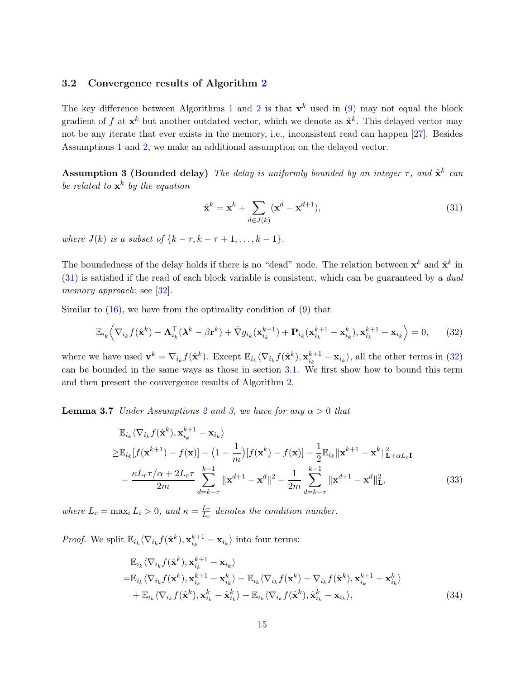#### <span id="page-14-5"></span>3.2 Convergence results of Algorithm [2](#page-8-0)

The key difference between Algorithms [1](#page-6-0) and [2](#page-8-0) is that  $\mathbf{v}^k$  used in [\(9\)](#page-8-1) may not equal the block gradient of f at  $\mathbf{x}^k$  but another outdated vector, which we denote as  $\hat{\mathbf{x}}^k$ . This delayed vector may not be any iterate that ever exists in the memory, i.e., inconsistent read can happen [\[27\]](#page-25-5). Besides Assumptions [1](#page-7-1) and [2,](#page-8-4) we make an additional assumption on the delayed vector.

**Assumption 3 (Bounded delay)** The delay is uniformly bounded by an integer  $\tau$ , and  $\hat{\mathbf{x}}^k$  can be related to  $\mathbf{x}^k$  by the equation

<span id="page-14-2"></span><span id="page-14-1"></span><span id="page-14-0"></span>
$$
\hat{\mathbf{x}}^k = \mathbf{x}^k + \sum_{d \in J(k)} (\mathbf{x}^d - \mathbf{x}^{d+1}),\tag{31}
$$

where  $J(k)$  is a subset of  ${k - \tau, k - \tau + 1, ..., k - 1}.$ 

The boundedness of the delay holds if there is no "dead" node. The relation between  $\mathbf{x}^k$  and  $\hat{\mathbf{x}}^k$  in [\(31\)](#page-14-0) is satisfied if the read of each block variable is consistent, which can be guaranteed by a dual memory approach; see [\[32\]](#page-25-7).

Similar to  $(16)$ , we have from the optimality condition of  $(9)$  that

$$
\mathbb{E}_{i_k} \left\langle \nabla_{i_k} f(\hat{\mathbf{x}}^k) - \mathbf{A}_{i_k}^\top (\boldsymbol{\lambda}^k - \beta \mathbf{r}^k) + \tilde{\nabla} g_{i_k}(\mathbf{x}_{i_k}^{k+1}) + \mathbf{P}_{i_k}(\mathbf{x}_{i_k}^{k+1} - \mathbf{x}_{i_k}^k), \mathbf{x}_{i_k}^{k+1} - \mathbf{x}_{i_k} \right\rangle = 0, \qquad (32)
$$

where we have used  $\mathbf{v}^k = \nabla_{i_k} f(\hat{\mathbf{x}}^k)$ . Except  $\mathbb{E}_{i_k} \langle \nabla_{i_k} f(\hat{\mathbf{x}}^k), \mathbf{x}_{i_k}^{k+1} - \mathbf{x}_{i_k} \rangle$ , all the other terms in [\(32\)](#page-14-1) can be bounded in the same ways as those in section [3.1.](#page-8-5) We first show how to bound this term and then present the convergence results of Algorithm [2.](#page-8-0)

<span id="page-14-4"></span>**Lemma 3.7** Under Assumptions [2](#page-8-4) and [3,](#page-14-2) we have for any  $\alpha > 0$  that

$$
\mathbb{E}_{i_k} \langle \nabla_{i_k} f(\hat{\mathbf{x}}^k), \mathbf{x}_{i_k}^{k+1} - \mathbf{x}_{i_k} \rangle
$$
\n
$$
\geq \mathbb{E}_{i_k} [f(\mathbf{x}^{k+1}) - f(\mathbf{x})] - (1 - \frac{1}{m}) [f(\mathbf{x}^k) - f(\mathbf{x})] - \frac{1}{2} \mathbb{E}_{i_k} ||\mathbf{x}^{k+1} - \mathbf{x}^k||_{\mathbf{L} + \alpha L_c \mathbf{I}}^2
$$
\n
$$
- \frac{\kappa L_r \tau / \alpha + 2L_r \tau}{2m} \sum_{d=k-\tau}^{k-1} ||\mathbf{x}^{d+1} - \mathbf{x}^d||^2 - \frac{1}{2m} \sum_{d=k-\tau}^{k-1} ||\mathbf{x}^{d+1} - \mathbf{x}^d||_{\mathbf{L}}^2, \tag{33}
$$

where  $L_c = \max_i L_i > 0$ , and  $\kappa = \frac{L_r}{L_c}$  $\frac{L_r}{L_c}$  denotes the condition number.

*Proof.* We split  $\mathbb{E}_{i_k} \langle \nabla_{i_k} f(\hat{\mathbf{x}}^k), \mathbf{x}_{i_k}^{k+1} - \mathbf{x}_{i_k} \rangle$  into four terms:

<span id="page-14-3"></span>
$$
\mathbb{E}_{i_k} \langle \nabla_{i_k} f(\hat{\mathbf{x}}^k), \mathbf{x}_{i_k}^{k+1} - \mathbf{x}_{i_k} \rangle \n= \mathbb{E}_{i_k} \langle \nabla_{i_k} f(\mathbf{x}^k), \mathbf{x}_{i_k}^{k+1} - \mathbf{x}_{i_k}^k \rangle - \mathbb{E}_{i_k} \langle \nabla_{i_k} f(\mathbf{x}^k) - \nabla_{i_k} f(\hat{\mathbf{x}}^k), \mathbf{x}_{i_k}^{k+1} - \mathbf{x}_{i_k}^k \rangle \n+ \mathbb{E}_{i_k} \langle \nabla_{i_k} f(\hat{\mathbf{x}}^k), \mathbf{x}_{i_k}^k - \hat{\mathbf{x}}_{i_k}^k \rangle + \mathbb{E}_{i_k} \langle \nabla_{i_k} f(\hat{\mathbf{x}}^k), \hat{\mathbf{x}}_{i_k}^k - \mathbf{x}_{i_k} \rangle,
$$
\n(34)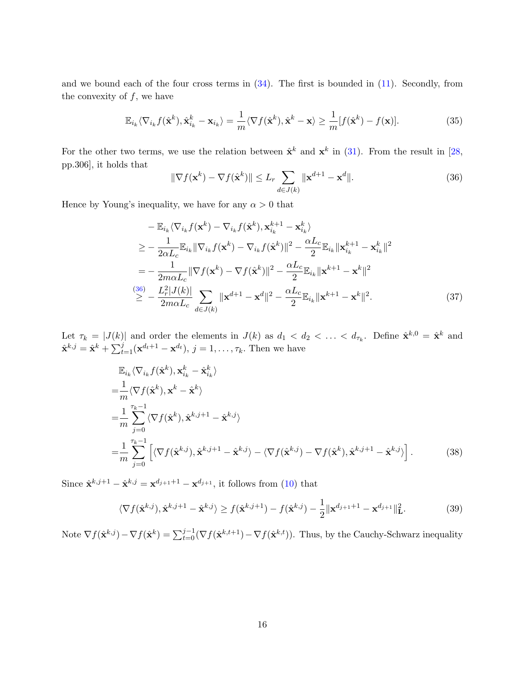<span id="page-15-5"></span>and we bound each of the four cross terms in  $(34)$ . The first is bounded in  $(11)$ . Secondly, from the convexity of  $f$ , we have

<span id="page-15-3"></span>
$$
\mathbb{E}_{i_k} \langle \nabla_{i_k} f(\hat{\mathbf{x}}^k), \hat{\mathbf{x}}_{i_k}^k - \mathbf{x}_{i_k} \rangle = \frac{1}{m} \langle \nabla f(\hat{\mathbf{x}}^k), \hat{\mathbf{x}}^k - \mathbf{x} \rangle \ge \frac{1}{m} [f(\hat{\mathbf{x}}^k) - f(\mathbf{x})]. \tag{35}
$$

For the other two terms, we use the relation between  $\hat{\mathbf{x}}^k$  and  $\mathbf{x}^k$  in [\(31\)](#page-14-0). From the result in [\[28,](#page-25-6) pp.306], it holds that

<span id="page-15-4"></span><span id="page-15-0"></span>
$$
\|\nabla f(\mathbf{x}^k) - \nabla f(\hat{\mathbf{x}}^k)\| \le L_r \sum_{d \in J(k)} \|\mathbf{x}^{d+1} - \mathbf{x}^d\|.
$$
 (36)

Hence by Young's inequality, we have for any  $\alpha > 0$  that

$$
-\mathbb{E}_{i_k}\langle\nabla_{i_k}f(\mathbf{x}^k)-\nabla_{i_k}f(\hat{\mathbf{x}}^k),\mathbf{x}_{i_k}^{k+1}-\mathbf{x}_{i_k}^k\rangle
$$
  
\n
$$
\geq -\frac{1}{2\alpha L_c}\mathbb{E}_{i_k}\|\nabla_{i_k}f(\mathbf{x}^k)-\nabla_{i_k}f(\hat{\mathbf{x}}^k)\|^2 - \frac{\alpha L_c}{2}\mathbb{E}_{i_k}\|\mathbf{x}_{i_k}^{k+1}-\mathbf{x}_{i_k}^k\|^2
$$
  
\n
$$
= -\frac{1}{2m\alpha L_c}\|\nabla f(\mathbf{x}^k)-\nabla f(\hat{\mathbf{x}}^k)\|^2 - \frac{\alpha L_c}{2}\mathbb{E}_{i_k}\|\mathbf{x}^{k+1}-\mathbf{x}^k\|^2
$$
  
\n
$$
\geq -\frac{L_r^2|J(k)|}{2m\alpha L_c}\sum_{d\in J(k)}\|\mathbf{x}^{d+1}-\mathbf{x}^d\|^2 - \frac{\alpha L_c}{2}\mathbb{E}_{i_k}\|\mathbf{x}^{k+1}-\mathbf{x}^k\|^2.
$$
 (37)

Let  $\tau_k = |J(k)|$  and order the elements in  $J(k)$  as  $d_1 < d_2 < \ldots < d_{\tau_k}$ . Define  $\hat{\mathbf{x}}^{k,0} = \hat{\mathbf{x}}^k$  and  $\hat{\mathbf{x}}^{k,j} = \hat{\mathbf{x}}^k + \sum_{t=1}^j (\mathbf{x}^{d_t+1} - \mathbf{x}^{d_t}), j = 1, \ldots, \tau_k$ . Then we have

$$
\mathbb{E}_{i_k} \langle \nabla_{i_k} f(\hat{\mathbf{x}}^k), \mathbf{x}_{i_k}^k - \hat{\mathbf{x}}_{i_k}^k \rangle
$$
\n
$$
= \frac{1}{m} \langle \nabla f(\hat{\mathbf{x}}^k), \mathbf{x}^k - \hat{\mathbf{x}}^k \rangle
$$
\n
$$
= \frac{1}{m} \sum_{j=0}^{\tau_k - 1} \langle \nabla f(\hat{\mathbf{x}}^k), \hat{\mathbf{x}}^{k,j+1} - \hat{\mathbf{x}}^{k,j} \rangle
$$
\n
$$
= \frac{1}{m} \sum_{j=0}^{\tau_k - 1} \left[ \langle \nabla f(\hat{\mathbf{x}}^{k,j}), \hat{\mathbf{x}}^{k,j+1} - \hat{\mathbf{x}}^{k,j} \rangle - \langle \nabla f(\hat{\mathbf{x}}^{k,j}) - \nabla f(\hat{\mathbf{x}}^k), \hat{\mathbf{x}}^{k,j+1} - \hat{\mathbf{x}}^{k,j} \rangle \right].
$$
\n(38)

Since  $\hat{\mathbf{x}}^{k,j+1} - \hat{\mathbf{x}}^{k,j} = \mathbf{x}^{d_{j+1}+1} - \mathbf{x}^{d_{j+1}},$  it follows from [\(10\)](#page-8-2) that

<span id="page-15-2"></span><span id="page-15-1"></span>
$$
\langle \nabla f(\hat{\mathbf{x}}^{k,j}), \hat{\mathbf{x}}^{k,j+1} - \hat{\mathbf{x}}^{k,j} \rangle \ge f(\hat{\mathbf{x}}^{k,j+1}) - f(\hat{\mathbf{x}}^{k,j}) - \frac{1}{2} \|\mathbf{x}^{d_{j+1}+1} - \mathbf{x}^{d_{j+1}}\|_{\mathbf{L}}^2.
$$
 (39)

Note  $\nabla f(\hat{\mathbf{x}}^{k,j}) - \nabla f(\hat{\mathbf{x}}^k) = \sum_{t=0}^{j-1} (\nabla f(\hat{\mathbf{x}}^{k,t+1}) - \nabla f(\hat{\mathbf{x}}^{k,t}))$ . Thus, by the Cauchy-Schwarz inequality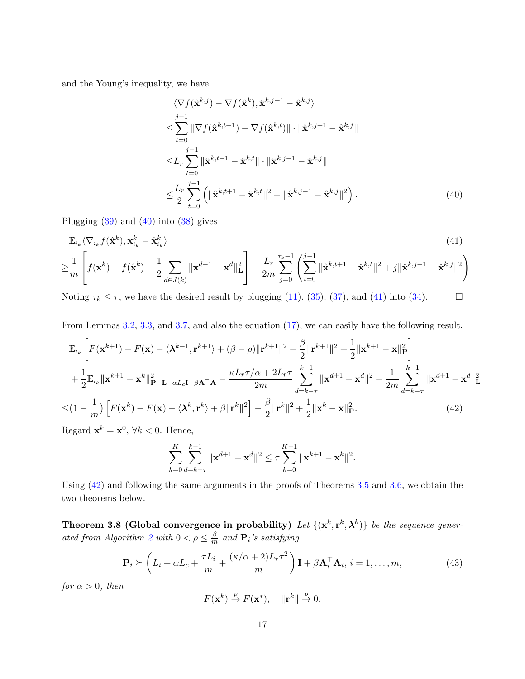and the Young's inequality, we have

<span id="page-16-2"></span><span id="page-16-1"></span>
$$
\langle \nabla f(\hat{\mathbf{x}}^{k,j}) - \nabla f(\hat{\mathbf{x}}^k), \hat{\mathbf{x}}^{k,j+1} - \hat{\mathbf{x}}^{k,j} \rangle
$$
  
\n
$$
\leq \sum_{t=0}^{j-1} \|\nabla f(\hat{\mathbf{x}}^{k,t+1}) - \nabla f(\hat{\mathbf{x}}^{k,t})\| \cdot \|\hat{\mathbf{x}}^{k,j+1} - \hat{\mathbf{x}}^{k,j}\|
$$
  
\n
$$
\leq L_r \sum_{t=0}^{j-1} \|\hat{\mathbf{x}}^{k,t+1} - \hat{\mathbf{x}}^{k,t}\| \cdot \|\hat{\mathbf{x}}^{k,j+1} - \hat{\mathbf{x}}^{k,j}\|
$$
  
\n
$$
\leq \frac{L_r}{2} \sum_{t=0}^{j-1} \left( \|\hat{\mathbf{x}}^{k,t+1} - \hat{\mathbf{x}}^{k,t}\|^2 + \|\hat{\mathbf{x}}^{k,j+1} - \hat{\mathbf{x}}^{k,j}\|^2 \right).
$$
 (40)

Plugging  $(39)$  and  $(40)$  into  $(38)$  gives

$$
\mathbb{E}_{i_k} \langle \nabla_{i_k} f(\hat{\mathbf{x}}^k), \mathbf{x}_{i_k}^k - \hat{\mathbf{x}}_{i_k}^k \rangle \tag{41}
$$

$$
\geq \frac{1}{m} \left[ f(\mathbf{x}^k) - f(\hat{\mathbf{x}}^k) - \frac{1}{2} \sum_{d \in J(k)} \|\mathbf{x}^{d+1} - \mathbf{x}^d\|_L^2 \right] - \frac{L_r}{2m} \sum_{j=0}^{\tau_k - 1} \left( \sum_{t=0}^{j-1} \|\hat{\mathbf{x}}^{k,t+1} - \hat{\mathbf{x}}^{k,t}\|^2 + j\|\hat{\mathbf{x}}^{k,j+1} - \hat{\mathbf{x}}^{k,j}\|^2 \right)
$$

Noting  $\tau_k \leq \tau$ , we have the desired result by plugging [\(11\)](#page-9-3), [\(35\)](#page-15-3), [\(37\)](#page-15-4), and [\(41\)](#page-16-2) into [\(34\)](#page-14-3).

From Lemmas [3.2,](#page-9-4) [3.3,](#page-9-2) and [3.7,](#page-14-4) and also the equation [\(17\)](#page-10-3), we can easily have the following result.

$$
\mathbb{E}_{i_k} \left[ F(\mathbf{x}^{k+1}) - F(\mathbf{x}) - \langle \lambda^{k+1}, \mathbf{r}^{k+1} \rangle + (\beta - \rho) \|\mathbf{r}^{k+1}\|^2 - \frac{\beta}{2} \|\mathbf{r}^{k+1}\|^2 + \frac{1}{2} \|\mathbf{x}^{k+1} - \mathbf{x}\|_{\mathbf{P}}^2 \right] + \frac{1}{2} \mathbb{E}_{i_k} \|\mathbf{x}^{k+1} - \mathbf{x}^k\|_{\mathbf{P} - \mathbf{L} - \alpha L_c \mathbf{I} - \beta \mathbf{A}^\top \mathbf{A}} - \frac{\kappa L_r \tau / \alpha + 2L_r \tau}{2m} \sum_{d=k-\tau}^{k-1} \|\mathbf{x}^{d+1} - \mathbf{x}^d\|^2 - \frac{1}{2m} \sum_{d=k-\tau}^{k-1} \|\mathbf{x}^{d+1} - \mathbf{x}^d\|_{\mathbf{L}}^2 \n\leq (1 - \frac{1}{m}) \left[ F(\mathbf{x}^k) - F(\mathbf{x}) - \langle \lambda^k, \mathbf{r}^k \rangle + \beta \|\mathbf{r}^k\|^2 \right] - \frac{\beta}{2} \|\mathbf{r}^k\|^2 + \frac{1}{2} \|\mathbf{x}^k - \mathbf{x}\|_{\mathbf{P}}^2.
$$
\n(42)

Regard  $\mathbf{x}^k = \mathbf{x}^0$ ,  $\forall k < 0$ . Hence,

<span id="page-16-3"></span>
$$
\sum_{k=0}^K \sum_{d=k-\tau}^{k-1} \|\mathbf{x}^{d+1} - \mathbf{x}^d\|^2 \leq \tau \sum_{k=0}^{K-1} \|\mathbf{x}^{k+1} - \mathbf{x}^k\|^2.
$$

Using [\(42\)](#page-16-3) and following the same arguments in the proofs of Theorems [3.5](#page-10-4) and [3.6,](#page-12-4) we obtain the two theorems below.

<span id="page-16-0"></span>Theorem 3.8 (Global convergence in probability) Let  $\{(\mathbf{x}^k, \mathbf{r}^k, \boldsymbol{\lambda}^k)\}\$  be the sequence gener-ated from Algorithm [2](#page-8-0) with  $0 < \rho \leq \frac{\beta}{m}$  $\frac{\beta}{m}$  and  $\mathbf{P}_i$ 's satisfying

<span id="page-16-4"></span>
$$
\mathbf{P}_{i} \succeq \left( L_{i} + \alpha L_{c} + \frac{\tau L_{i}}{m} + \frac{(\kappa/\alpha + 2)L_{r}\tau^{2}}{m} \right) \mathbf{I} + \beta \mathbf{A}_{i}^{\top} \mathbf{A}_{i}, i = 1, ..., m,
$$
\n(43)

for  $\alpha > 0$ , then

$$
F(\mathbf{x}^k) \stackrel{p}{\to} F(\mathbf{x}^*), \quad \|\mathbf{r}^k\| \stackrel{p}{\to} 0.
$$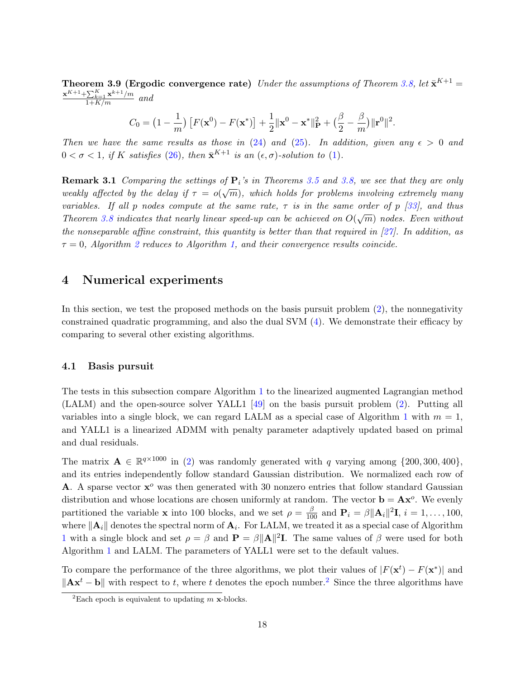<span id="page-17-3"></span>**Theorem 3.9 (Ergodic convergence rate)** Under the assumptions of Theorem [3.8,](#page-16-0) let  $\bar{\mathbf{x}}^{K+1} =$  $\frac{{\bf x}^{K+1} + \sum_{k=1}^K {\bf x}^{k+1}/m}{1 + K/m}$  and

$$
C_0 = \left(1 - \frac{1}{m}\right) \left[F(\mathbf{x}^0) - F(\mathbf{x}^*)\right] + \frac{1}{2} ||\mathbf{x}^0 - \mathbf{x}^*||^2_{\mathbf{P}} + \left(\frac{\beta}{2} - \frac{\beta}{m}\right) ||\mathbf{r}^0||^2.
$$

Then we have the same results as those in [\(24\)](#page-12-1) and [\(25\)](#page-12-2). In addition, given any  $\epsilon > 0$  and  $0 < \sigma < 1$ , if K satisfies [\(26\)](#page-13-3), then  $\bar{\mathbf{x}}^{K+1}$  is an  $(\epsilon, \sigma)$ -solution to [\(1\)](#page-0-0).

**Remark 3.1** Comparing the settings of  $\mathbf{P}_i$ 's in Theorems [3.5](#page-10-4) and [3.8,](#page-16-0) we see that they are only **TECTRITE SET COMPUTIES** the Settings of  $\mathbf{r}_i$  is in Theorems 5.5 and 5.0, we see that they are only weakly affected by the delay if  $\tau = o(\sqrt{m})$ , which holds for problems involving extremely many variables. If all p nodes compute at the same rate,  $\tau$  is in the same order of p [\[33\]](#page-25-9), and thus Theorem [3.8](#page-16-0) indicates that nearly linear speed-up can be achieved on  $O(\sqrt{m})$  nodes. Even without the nonseparable affine constraint, this quantity is better than that required in  $[27]$ . In addition, as  $\tau = 0$ , Algorithm [2](#page-8-0) reduces to Algorithm [1,](#page-6-0) and their convergence results coincide.

### <span id="page-17-1"></span>4 Numerical experiments

In this section, we test the proposed methods on the basis pursuit problem [\(2\)](#page-1-0), the nonnegativity constrained quadratic programming, and also the dual SVM [\(4\)](#page-1-2). We demonstrate their efficacy by comparing to several other existing algorithms.

#### <span id="page-17-0"></span>4.1 Basis pursuit

The tests in this subsection compare Algorithm [1](#page-6-0) to the linearized augmented Lagrangian method (LALM) and the open-source solver YALL1 [\[49\]](#page-26-10) on the basis pursuit problem [\(2\)](#page-1-0). Putting all variables into a single block, we can regard LALM as a special case of Algorithm [1](#page-6-0) with  $m = 1$ , and YALL1 is a linearized ADMM with penalty parameter adaptively updated based on primal and dual residuals.

The matrix  $\mathbf{A} \in \mathbb{R}^{q \times 1000}$  in [\(2\)](#page-1-0) was randomly generated with q varying among  $\{200, 300, 400\}$ , and its entries independently follow standard Gaussian distribution. We normalized each row of A. A sparse vector  $x^o$  was then generated with 30 nonzero entries that follow standard Gaussian distribution and whose locations are chosen uniformly at random. The vector  $\mathbf{b} = \mathbf{A}\mathbf{x}^o$ . We evenly partitioned the variable **x** into 100 blocks, and we set  $\rho = \frac{\beta}{100}$  and  $\mathbf{P}_i = \beta ||\mathbf{A}_i||^2 \mathbf{I}$ ,  $i = 1, ..., 100$ , where  $\|\mathbf{A}_i\|$  denotes the spectral norm of  $\mathbf{A}_i$ . For LALM, we treated it as a special case of Algorithm [1](#page-6-0) with a single block and set  $\rho = \beta$  and  $\mathbf{P} = \beta ||\mathbf{A}||^2 \mathbf{I}$ . The same values of  $\beta$  were used for both Algorithm [1](#page-6-0) and LALM. The parameters of YALL1 were set to the default values.

To compare the performance of the three algorithms, we plot their values of  $|F(\mathbf{x}^t) - F(\mathbf{x}^*)|$  and  $\|\mathbf{A}\mathbf{x}^t - \mathbf{b}\|$  with respect to t, where t denotes the epoch number.<sup>[2](#page-17-2)</sup> Since the three algorithms have

<span id="page-17-2"></span><sup>&</sup>lt;sup>2</sup>Each epoch is equivalent to updating  $m$  x-blocks.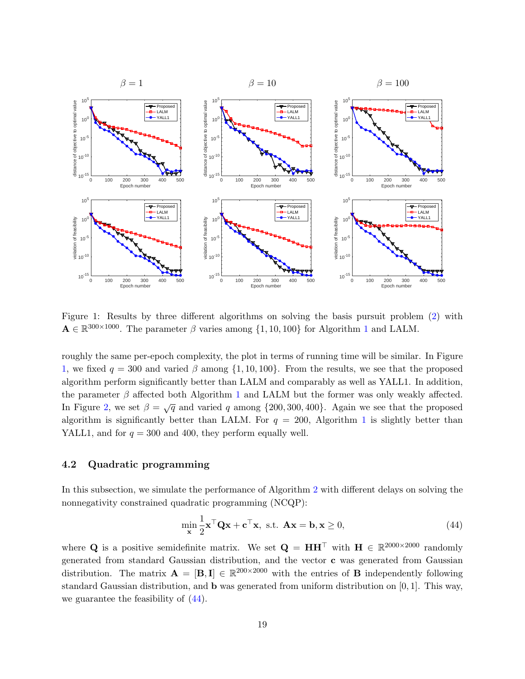

<span id="page-18-0"></span>Figure 1: Results by three different algorithms on solving the basis pursuit problem [\(2\)](#page-1-0) with  $\mathbf{A} \in \mathbb{R}^{300 \times 1000}$  $\mathbf{A} \in \mathbb{R}^{300 \times 1000}$  $\mathbf{A} \in \mathbb{R}^{300 \times 1000}$ . The parameter  $\beta$  varies among  $\{1, 10, 100\}$  for Algorithm 1 and LALM.

roughly the same per-epoch complexity, the plot in terms of running time will be similar. In Figure [1,](#page-18-0) we fixed  $q = 300$  and varied  $\beta$  among  $\{1, 10, 100\}$ . From the results, we see that the proposed algorithm perform significantly better than LALM and comparably as well as YALL1. In addition, the parameter  $\beta$  affected both Algorithm [1](#page-6-0) and LALM but the former was only weakly affected. In Figure [2,](#page-19-0) we set  $\beta = \sqrt{q}$  and varied q among  $\{200, 300, 400\}$ . Again we see that the proposed algorithm is significantly better than LALM. For  $q = 200$ , Algorithm [1](#page-6-0) is slightly better than YALL1, and for  $q = 300$  and 400, they perform equally well.

#### <span id="page-18-2"></span>4.2 Quadratic programming

In this subsection, we simulate the performance of Algorithm [2](#page-8-0) with different delays on solving the nonnegativity constrained quadratic programming (NCQP):

<span id="page-18-1"></span>
$$
\min_{\mathbf{x}} \frac{1}{2} \mathbf{x}^{\top} \mathbf{Q} \mathbf{x} + \mathbf{c}^{\top} \mathbf{x}, \text{ s.t. } \mathbf{A} \mathbf{x} = \mathbf{b}, \mathbf{x} \ge 0,
$$
\n(44)

where Q is a positive semidefinite matrix. We set  $\mathbf{Q} = \mathbf{H} \mathbf{H}^{\top}$  with  $\mathbf{H} \in \mathbb{R}^{2000 \times 2000}$  randomly generated from standard Gaussian distribution, and the vector c was generated from Gaussian distribution. The matrix  $\mathbf{A} = [\mathbf{B}, \mathbf{I}] \in \mathbb{R}^{200 \times 2000}$  with the entries of **B** independently following standard Gaussian distribution, and **b** was generated from uniform distribution on  $[0, 1]$ . This way, we guarantee the feasibility of [\(44\)](#page-18-1).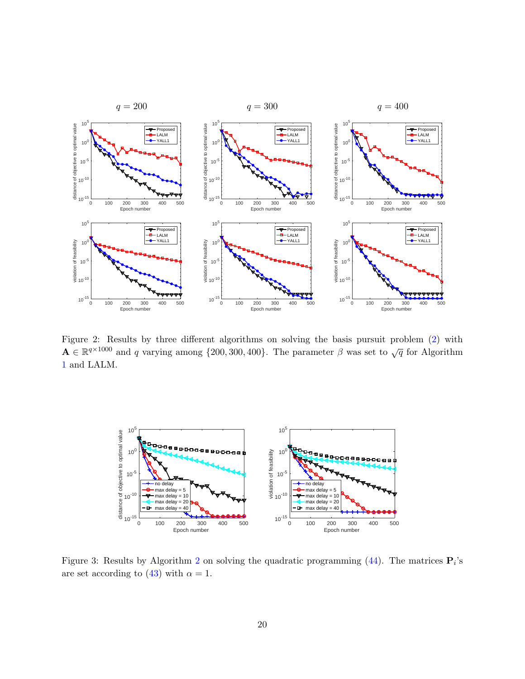

<span id="page-19-0"></span>Figure 2: Results by three different algorithms on solving the basis pursuit problem [\(2\)](#page-1-0) with  $\mathbf{A} \in \mathbb{R}^{q \times 1000}$  and q varying among  $\{200, 300, 400\}$ . The parameter  $\beta$  was set to  $\sqrt{q}$  for Algorithm [1](#page-6-0) and LALM.



<span id="page-19-1"></span>Figure 3: Results by Algorithm [2](#page-8-0) on solving the quadratic programming  $(44)$ . The matrices  $P_i$ 's are set according to [\(43\)](#page-16-4) with  $\alpha = 1$ .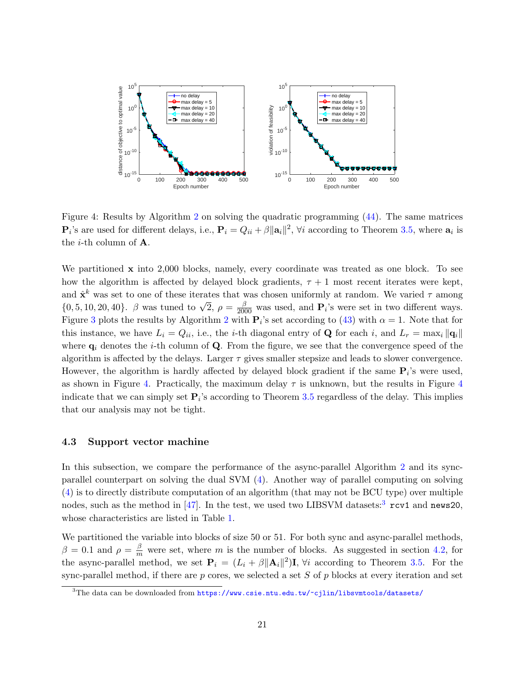<span id="page-20-3"></span>

<span id="page-20-1"></span>Figure 4: Results by Algorithm [2](#page-8-0) on solving the quadratic programming [\(44\)](#page-18-1). The same matrices  $\mathbf{P}_i$ 's are used for different delays, i.e.,  $\mathbf{P}_i = Q_{ii} + \beta ||\mathbf{a}_i||^2$ ,  $\forall i$  according to Theorem [3.5,](#page-10-4) where  $\mathbf{a}_i$  is the *i*-th column of  $\bf{A}$ .

We partitioned x into 2,000 blocks, namely, every coordinate was treated as one block. To see how the algorithm is affected by delayed block gradients,  $\tau + 1$  most recent iterates were kept. and  $\hat{\mathbf{x}}^k$  was set to one of these iterates that was chosen uniformly at random. We varied  $\tau$  among  ${0, 5, 10, 20, 40}$ . β was tuned to  $\sqrt{2}$ ,  $\rho = \frac{\beta}{2000}$  was used, and  $\mathbf{P}_i$ 's were set in two different ways. Figure [3](#page-19-1) plots the results by Algorithm [2](#page-8-0) with  $P_i$ 's set according to [\(43\)](#page-16-4) with  $\alpha = 1$ . Note that for this instance, we have  $L_i = Q_{ii}$ , i.e., the *i*-th diagonal entry of **Q** for each *i*, and  $L_r = \max_i ||\mathbf{q}_i||$ where  $q_i$  denotes the *i*-th column of **Q**. From the figure, we see that the convergence speed of the algorithm is affected by the delays. Larger  $\tau$  gives smaller stepsize and leads to slower convergence. However, the algorithm is hardly affected by delayed block gradient if the same  $P_i$ 's were used, as shown in Figure [4.](#page-20-1) Practically, the maximum delay  $\tau$  is unknown, but the results in Figure [4](#page-20-1) indicate that we can simply set  $P_i$ 's according to Theorem [3.5](#page-10-4) regardless of the delay. This implies that our analysis may not be tight.

#### <span id="page-20-0"></span>4.3 Support vector machine

In this subsection, we compare the performance of the async-parallel Algorithm [2](#page-8-0) and its syncparallel counterpart on solving the dual SVM [\(4\)](#page-1-2). Another way of parallel computing on solving [\(4\)](#page-1-2) is to directly distribute computation of an algorithm (that may not be BCU type) over multiple nodes, such as the method in  $[47]$ . In the test, we used two LIBSVM datasets:<sup>[3](#page-20-2)</sup> rcv1 and news20. whose characteristics are listed in Table [1.](#page-21-0)

We partitioned the variable into blocks of size 50 or 51. For both sync and async-parallel methods,  $\beta = 0.1$  and  $\rho = \frac{\beta}{m}$  were set, where m is the number of blocks. As suggested in section [4.2,](#page-18-2) for the async-parallel method, we set  $\mathbf{P}_i = (L_i + \beta ||\mathbf{A}_i||^2)\mathbf{I}$ ,  $\forall i$  according to Theorem [3.5.](#page-10-4) For the sync-parallel method, if there are  $p$  cores, we selected a set  $S$  of  $p$  blocks at every iteration and set

<span id="page-20-2"></span> ${}^{3}$ The data can be downloaded from <https://www.csie.ntu.edu.tw/~cjlin/libsvmtools/datasets/>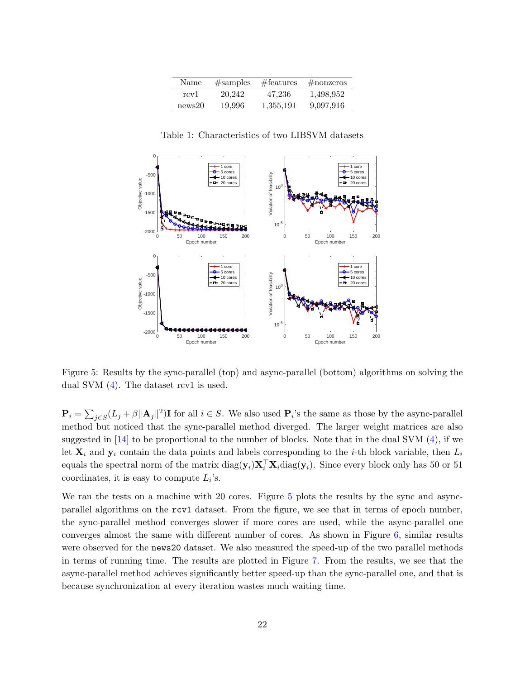| Name   | #samples | #features | $\#\text{nonzeros}$ |
|--------|----------|-----------|---------------------|
| rcy1   | 20.242   | 47.236    | 1,498,952           |
| news20 | 19.996   | 1,355,191 | 9,097,916           |

<span id="page-21-0"></span>Table 1: Characteristics of two LIBSVM datasets

<span id="page-21-2"></span>

<span id="page-21-1"></span>Figure 5: Results by the sync-parallel (top) and async-parallel (bottom) algorithms on solving the dual SVM [\(4\)](#page-1-2). The dataset rcv1 is used.

 $\mathbf{P}_i = \sum_{j \in S} (L_j + \beta ||\mathbf{A}_j||^2) \mathbf{I}$  for all  $i \in S$ . We also used  $\mathbf{P}_i$ 's the same as those by the async-parallel method but noticed that the sync-parallel method diverged. The larger weight matrices are also suggested in [\[14\]](#page-24-6) to be proportional to the number of blocks. Note that in the dual SVM [\(4\)](#page-1-2), if we let  $X_i$  and  $y_i$  contain the data points and labels corresponding to the *i*-th block variable, then  $L_i$ equals the spectral norm of the matrix  $diag(y_i) \mathbf{X}_i^{\top} \mathbf{X}_i diag(y_i)$ . Since every block only has 50 or 51 coordinates, it is easy to compute  $L_i$ 's.

We ran the tests on a machine with 20 cores. Figure [5](#page-21-1) plots the results by the sync and asyncparallel algorithms on the rcv1 dataset. From the figure, we see that in terms of epoch number, the sync-parallel method converges slower if more cores are used, while the async-parallel one converges almost the same with different number of cores. As shown in Figure [6,](#page-22-0) similar results were observed for the news20 dataset. We also measured the speed-up of the two parallel methods in terms of running time. The results are plotted in Figure [7.](#page-22-1) From the results, we see that the async-parallel method achieves significantly better speed-up than the sync-parallel one, and that is because synchronization at every iteration wastes much waiting time.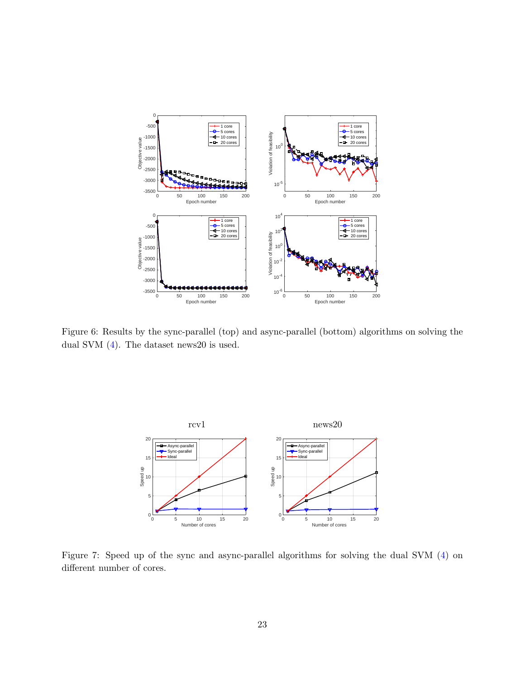

<span id="page-22-0"></span>Figure 6: Results by the sync-parallel (top) and async-parallel (bottom) algorithms on solving the dual SVM [\(4\)](#page-1-2). The dataset news20 is used.



<span id="page-22-1"></span>Figure 7: Speed up of the sync and async-parallel algorithms for solving the dual SVM [\(4\)](#page-1-2) on different number of cores.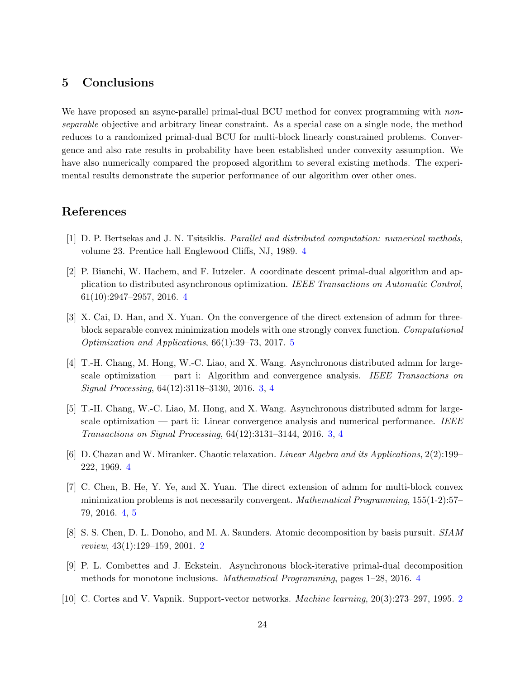# <span id="page-23-10"></span>5 Conclusions

We have proposed an async-parallel primal-dual BCU method for convex programming with *non*separable objective and arbitrary linear constraint. As a special case on a single node, the method reduces to a randomized primal-dual BCU for multi-block linearly constrained problems. Convergence and also rate results in probability have been established under convexity assumption. We have also numerically compared the proposed algorithm to several existing methods. The experimental results demonstrate the superior performance of our algorithm over other ones.

## References

- <span id="page-23-5"></span>[1] D. P. Bertsekas and J. N. Tsitsiklis. Parallel and distributed computation: numerical methods, volume 23. Prentice hall Englewood Cliffs, NJ, 1989. [4](#page-3-1)
- <span id="page-23-6"></span>[2] P. Bianchi, W. Hachem, and F. Iutzeler. A coordinate descent primal-dual algorithm and application to distributed asynchronous optimization. IEEE Transactions on Automatic Control, 61(10):2947–2957, 2016. [4](#page-3-1)
- <span id="page-23-9"></span>[3] X. Cai, D. Han, and X. Yuan. On the convergence of the direct extension of admm for threeblock separable convex minimization models with one strongly convex function. Computational Optimization and Applications, 66(1):39–73, 2017. [5](#page-4-0)
- <span id="page-23-2"></span>[4] T.-H. Chang, M. Hong, W.-C. Liao, and X. Wang. Asynchronous distributed admm for largescale optimization — part i: Algorithm and convergence analysis. IEEE Transactions on Signal Processing, 64(12):3118–3130, 2016. [3,](#page-2-0) [4](#page-3-1)
- <span id="page-23-3"></span>[5] T.-H. Chang, W.-C. Liao, M. Hong, and X. Wang. Asynchronous distributed admm for largescale optimization — part ii: Linear convergence analysis and numerical performance. IEEE Transactions on Signal Processing, 64(12):3131–3144, 2016. [3,](#page-2-0) [4](#page-3-1)
- <span id="page-23-4"></span>[6] D. Chazan and W. Miranker. Chaotic relaxation. Linear Algebra and its Applications, 2(2):199– 222, 1969. [4](#page-3-1)
- <span id="page-23-8"></span>[7] C. Chen, B. He, Y. Ye, and X. Yuan. The direct extension of admm for multi-block convex minimization problems is not necessarily convergent. Mathematical Programming,  $155(1-2):57-$ 79, 2016. [4,](#page-3-1) [5](#page-4-0)
- <span id="page-23-0"></span>[8] S. S. Chen, D. L. Donoho, and M. A. Saunders. Atomic decomposition by basis pursuit. SIAM review, 43(1):129–159, 2001. [2](#page-1-3)
- <span id="page-23-7"></span>[9] P. L. Combettes and J. Eckstein. Asynchronous block-iterative primal-dual decomposition methods for monotone inclusions. Mathematical Programming, pages 1–28, 2016. [4](#page-3-1)
- <span id="page-23-1"></span>[10] C. Cortes and V. Vapnik. Support-vector networks. Machine learning, 20(3):273–297, 1995. [2](#page-1-3)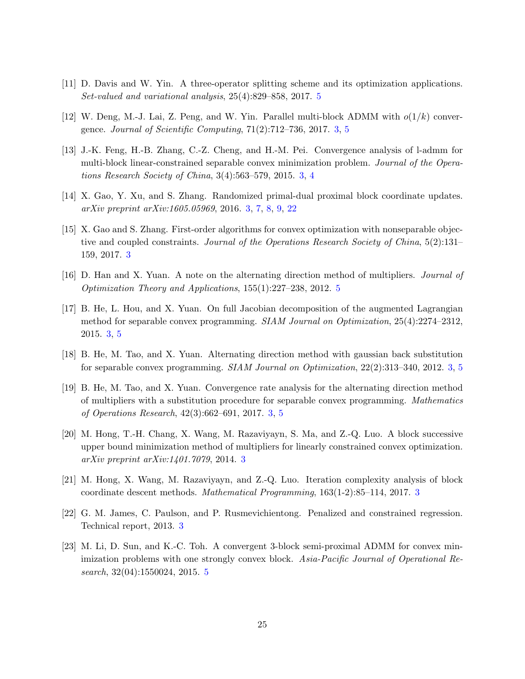- <span id="page-24-9"></span>[11] D. Davis and W. Yin. A three-operator splitting scheme and its optimization applications. Set-valued and variational analysis, 25(4):829–858, 2017. [5](#page-4-0)
- <span id="page-24-2"></span>[12] W. Deng, M.-J. Lai, Z. Peng, and W. Yin. Parallel multi-block ADMM with  $o(1/k)$  convergence. Journal of Scientific Computing,  $71(2)$ : $712-736$ ,  $2017$ . [3,](#page-2-0) [5](#page-4-0)
- <span id="page-24-3"></span>[13] J.-K. Feng, H.-B. Zhang, C.-Z. Cheng, and H.-M. Pei. Convergence analysis of l-admm for multi-block linear-constrained separable convex minimization problem. Journal of the Operations Research Society of China, 3(4):563–579, 2015. [3,](#page-2-0) [4](#page-3-1)
- <span id="page-24-6"></span>[14] X. Gao, Y. Xu, and S. Zhang. Randomized primal-dual proximal block coordinate updates. arXiv preprint arXiv:1605.05969, 2016. [3,](#page-2-0) [7,](#page-6-5) [8,](#page-7-2) [9,](#page-8-6) [22](#page-21-2)
- <span id="page-24-7"></span>[15] X. Gao and S. Zhang. First-order algorithms for convex optimization with nonseparable objective and coupled constraints. Journal of the Operations Research Society of China, 5(2):131– 159, 2017. [3](#page-2-0)
- <span id="page-24-10"></span>[16] D. Han and X. Yuan. A note on the alternating direction method of multipliers. Journal of Optimization Theory and Applications, 155(1):227–238, 2012. [5](#page-4-0)
- <span id="page-24-4"></span>[17] B. He, L. Hou, and X. Yuan. On full Jacobian decomposition of the augmented Lagrangian method for separable convex programming. SIAM Journal on Optimization, 25(4):2274–2312, 2015. [3,](#page-2-0) [5](#page-4-0)
- <span id="page-24-12"></span>[18] B. He, M. Tao, and X. Yuan. Alternating direction method with gaussian back substitution for separable convex programming. SIAM Journal on Optimization, 22(2):313–340, 2012. [3,](#page-2-0) [5](#page-4-0)
- <span id="page-24-5"></span>[19] B. He, M. Tao, and X. Yuan. Convergence rate analysis for the alternating direction method of multipliers with a substitution procedure for separable convex programming. Mathematics of Operations Research, 42(3):662–691, 2017. [3,](#page-2-0) [5](#page-4-0)
- <span id="page-24-8"></span>[20] M. Hong, T.-H. Chang, X. Wang, M. Razaviyayn, S. Ma, and Z.-Q. Luo. A block successive upper bound minimization method of multipliers for linearly constrained convex optimization. arXiv preprint arXiv:1401.7079, 2014. [3](#page-2-0)
- <span id="page-24-1"></span>[21] M. Hong, X. Wang, M. Razaviyayn, and Z.-Q. Luo. Iteration complexity analysis of block coordinate descent methods. Mathematical Programming, 163(1-2):85–114, 2017. [3](#page-2-0)
- <span id="page-24-0"></span>[22] G. M. James, C. Paulson, and P. Rusmevichientong. Penalized and constrained regression. Technical report, 2013. [3](#page-2-0)
- <span id="page-24-11"></span>[23] M. Li, D. Sun, and K.-C. Toh. A convergent 3-block semi-proximal ADMM for convex minimization problems with one strongly convex block. Asia-Pacific Journal of Operational Research, 32(04):1550024, 2015. [5](#page-4-0)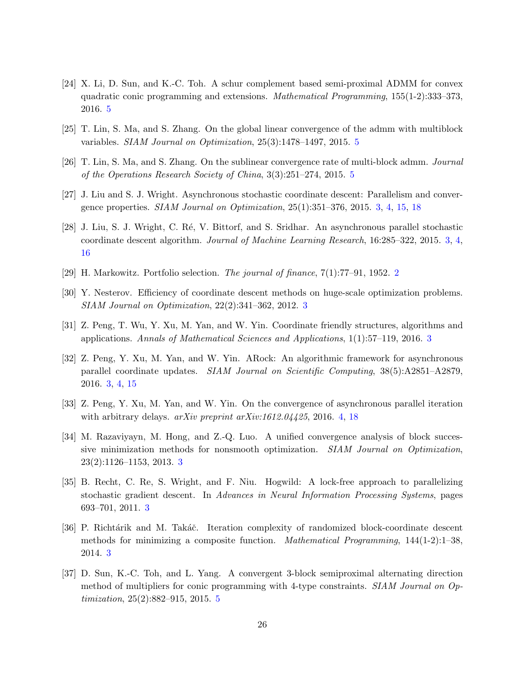- <span id="page-25-12"></span>[24] X. Li, D. Sun, and K.-C. Toh. A schur complement based semi-proximal ADMM for convex quadratic conic programming and extensions. Mathematical Programming, 155(1-2):333–373, 2016. [5](#page-4-0)
- <span id="page-25-10"></span>[25] T. Lin, S. Ma, and S. Zhang. On the global linear convergence of the admm with multiblock variables. SIAM Journal on Optimization, 25(3):1478–1497, 2015. [5](#page-4-0)
- <span id="page-25-11"></span>[26] T. Lin, S. Ma, and S. Zhang. On the sublinear convergence rate of multi-block admm. Journal of the Operations Research Society of China, 3(3):251–274, 2015. [5](#page-4-0)
- <span id="page-25-5"></span>[27] J. Liu and S. J. Wright. Asynchronous stochastic coordinate descent: Parallelism and convergence properties. *SIAM Journal on Optimization*,  $25(1):351-376$ ,  $2015$ . [3,](#page-2-0) [4,](#page-3-1) [15,](#page-14-5) [18](#page-17-3)
- <span id="page-25-6"></span>[28] J. Liu, S. J. Wright, C. Ré, V. Bittorf, and S. Sridhar. An asynchronous parallel stochastic coordinate descent algorithm. Journal of Machine Learning Research, 16:285–322, 2015. [3,](#page-2-0) [4,](#page-3-1) [16](#page-15-5)
- <span id="page-25-0"></span>[29] H. Markowitz. Portfolio selection. The journal of finance, 7(1):77–91, 1952. [2](#page-1-3)
- <span id="page-25-2"></span>[30] Y. Nesterov. Efficiency of coordinate descent methods on huge-scale optimization problems. SIAM Journal on Optimization, 22(2):341–362, 2012. [3](#page-2-0)
- <span id="page-25-1"></span>[31] Z. Peng, T. Wu, Y. Xu, M. Yan, and W. Yin. Coordinate friendly structures, algorithms and applications. Annals of Mathematical Sciences and Applications, 1(1):57–119, 2016. [3](#page-2-0)
- <span id="page-25-7"></span>[32] Z. Peng, Y. Xu, M. Yan, and W. Yin. ARock: An algorithmic framework for asynchronous parallel coordinate updates. SIAM Journal on Scientific Computing, 38(5):A2851–A2879, 2016. [3,](#page-2-0) [4,](#page-3-1) [15](#page-14-5)
- <span id="page-25-9"></span>[33] Z. Peng, Y. Xu, M. Yan, and W. Yin. On the convergence of asynchronous parallel iteration with arbitrary delays. *arXiv preprint arXiv:1612.04425*, 2016. [4,](#page-3-1) [18](#page-17-3)
- <span id="page-25-3"></span>[34] M. Razaviyayn, M. Hong, and Z.-Q. Luo. A unified convergence analysis of block successive minimization methods for nonsmooth optimization. SIAM Journal on Optimization, 23(2):1126–1153, 2013. [3](#page-2-0)
- <span id="page-25-8"></span>[35] B. Recht, C. Re, S. Wright, and F. Niu. Hogwild: A lock-free approach to parallelizing stochastic gradient descent. In Advances in Neural Information Processing Systems, pages 693–701, 2011. [3](#page-2-0)
- <span id="page-25-4"></span>[36] P. Richtárik and M. Takáč. Iteration complexity of randomized block-coordinate descent methods for minimizing a composite function. *Mathematical Programming*,  $144(1-2)$ :1–38. 2014. [3](#page-2-0)
- <span id="page-25-13"></span>[37] D. Sun, K.-C. Toh, and L. Yang. A convergent 3-block semiproximal alternating direction method of multipliers for conic programming with 4-type constraints. SIAM Journal on Optimization, 25(2):882–915, 2015. [5](#page-4-0)